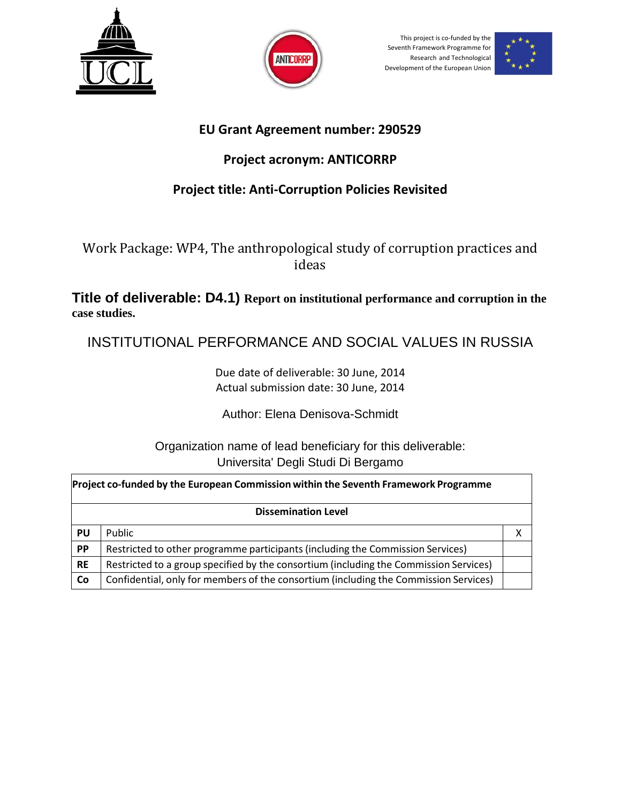



This project is co-funded by the Seventh Framework Programme for Research and Technological Development of the European Union



## **EU Grant Agreement number: 290529**

## **Project acronym: ANTICORRP**

# **Project title: Anti-Corruption Policies Revisited**

Work Package: WP4, The anthropological study of corruption practices and ideas

**Title of deliverable: D4.1) Report on institutional performance and corruption in the case studies.**

INSTITUTIONAL PERFORMANCE AND SOCIAL VALUES IN RUSSIA

Due date of deliverable: 30 June, 2014 Actual submission date: 30 June, 2014

Author: Elena Denisova-Schmidt

Organization name of lead beneficiary for this deliverable: Universita' Degli Studi Di Bergamo

|           | Project co-funded by the European Commission within the Seventh Framework Programme   |  |  |  |  |  |  |
|-----------|---------------------------------------------------------------------------------------|--|--|--|--|--|--|
|           | <b>Dissemination Level</b>                                                            |  |  |  |  |  |  |
| <b>PU</b> | Public                                                                                |  |  |  |  |  |  |
| <b>PP</b> | Restricted to other programme participants (including the Commission Services)        |  |  |  |  |  |  |
| <b>RE</b> | Restricted to a group specified by the consortium (including the Commission Services) |  |  |  |  |  |  |
| <b>Co</b> | Confidential, only for members of the consortium (including the Commission Services)  |  |  |  |  |  |  |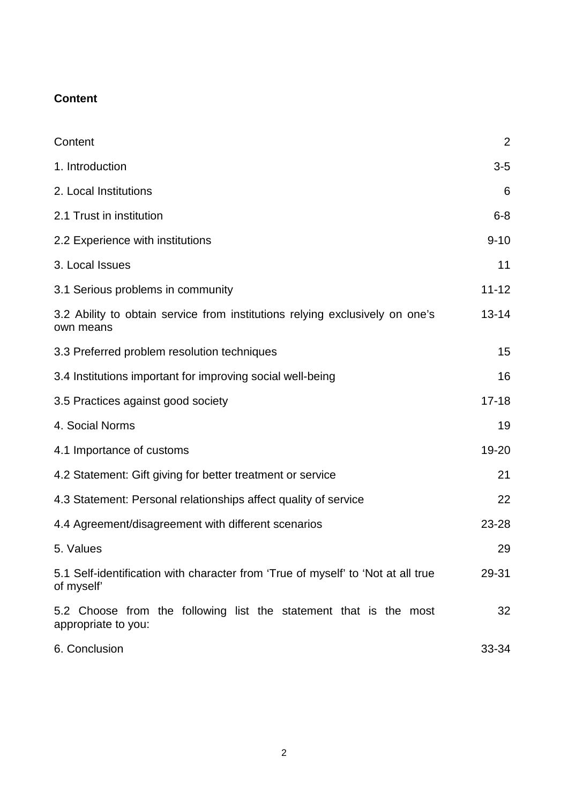## **Content**

| Content                                                                                        | $\overline{2}$ |  |
|------------------------------------------------------------------------------------------------|----------------|--|
| 1. Introduction                                                                                | $3-5$          |  |
| 2. Local Institutions                                                                          | 6              |  |
| 2.1 Trust in institution                                                                       | $6 - 8$        |  |
| 2.2 Experience with institutions                                                               | $9 - 10$       |  |
| 3. Local Issues                                                                                | 11             |  |
| 3.1 Serious problems in community                                                              | $11 - 12$      |  |
| 3.2 Ability to obtain service from institutions relying exclusively on one's<br>own means      | $13 - 14$      |  |
| 3.3 Preferred problem resolution techniques                                                    | 15             |  |
| 3.4 Institutions important for improving social well-being                                     | 16             |  |
| 3.5 Practices against good society                                                             | $17 - 18$      |  |
| 4. Social Norms                                                                                | 19             |  |
| 4.1 Importance of customs                                                                      | 19-20          |  |
| 4.2 Statement: Gift giving for better treatment or service                                     | 21             |  |
| 4.3 Statement: Personal relationships affect quality of service                                | 22             |  |
| 4.4 Agreement/disagreement with different scenarios                                            | 23-28          |  |
| 5. Values                                                                                      | 29             |  |
| 5.1 Self-identification with character from 'True of myself' to 'Not at all true<br>of myself' | 29-31          |  |
| 5.2 Choose from the following list the statement that is the most<br>appropriate to you:       | 32             |  |
| 6. Conclusion                                                                                  | 33-34          |  |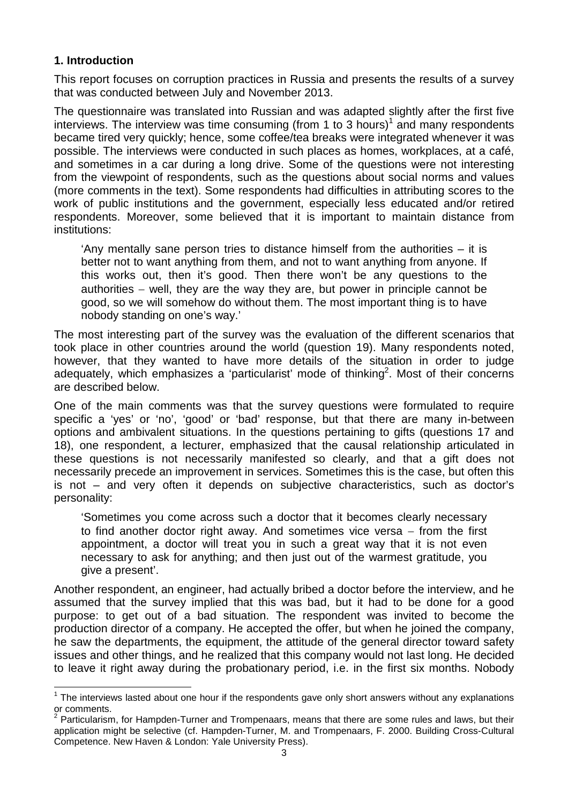## **1. Introduction**

This report focuses on corruption practices in Russia and presents the results of a survey that was conducted between July and November 2013.

The questionnaire was translated into Russian and was adapted slightly after the first five interviews. The interview was time consuming (from 1 to 3 hours)<sup>1</sup> and many respondents became tired very quickly; hence, some coffee/tea breaks were integrated whenever it was possible. The interviews were conducted in such places as homes, workplaces, at a café, and sometimes in a car during a long drive. Some of the questions were not interesting from the viewpoint of respondents, such as the questions about social norms and values (more comments in the text). Some respondents had difficulties in attributing scores to the work of public institutions and the government, especially less educated and/or retired respondents. Moreover, some believed that it is important to maintain distance from institutions:

'Any mentally sane person tries to distance himself from the authorities – it is better not to want anything from them, and not to want anything from anyone. If this works out, then it's good. Then there won't be any questions to the authorities – well, they are the way they are, but power in principle cannot be good, so we will somehow do without them. The most important thing is to have nobody standing on one's way.'

The most interesting part of the survey was the evaluation of the different scenarios that took place in other countries around the world (question 19). Many respondents noted, however, that they wanted to have more details of the situation in order to judge adequately, which emphasizes a 'particularist' mode of thinking<sup>2</sup>. Most of their concerns are described below.

One of the main comments was that the survey questions were formulated to require specific a 'yes' or 'no', 'good' or 'bad' response, but that there are many in-between options and ambivalent situations. In the questions pertaining to gifts (questions 17 and 18), one respondent, a lecturer, emphasized that the causal relationship articulated in these questions is not necessarily manifested so clearly, and that a gift does not necessarily precede an improvement in services. Sometimes this is the case, but often this is not – and very often it depends on subjective characteristics, such as doctor's personality:

'Sometimes you come across such a doctor that it becomes clearly necessary to find another doctor right away. And sometimes vice versa  $-$  from the first appointment, a doctor will treat you in such a great way that it is not even necessary to ask for anything; and then just out of the warmest gratitude, you give a present'.

Another respondent, an engineer, had actually bribed a doctor before the interview, and he assumed that the survey implied that this was bad, but it had to be done for a good purpose: to get out of a bad situation. The respondent was invited to become the production director of a company. He accepted the offer, but when he joined the company, he saw the departments, the equipment, the attitude of the general director toward safety issues and other things, and he realized that this company would not last long. He decided to leave it right away during the probationary period, i.e. in the first six months. Nobody

 $1$  The interviews lasted about one hour if the respondents gave only short answers without any explanations or comments.

 $2$  Particularism, for Hampden-Turner and Trompenaars, means that there are some rules and laws, but their application might be selective (cf. Hampden-Turner, M. and Trompenaars, F. 2000. Building Cross-Cultural Competence. New Haven & London: Yale University Press).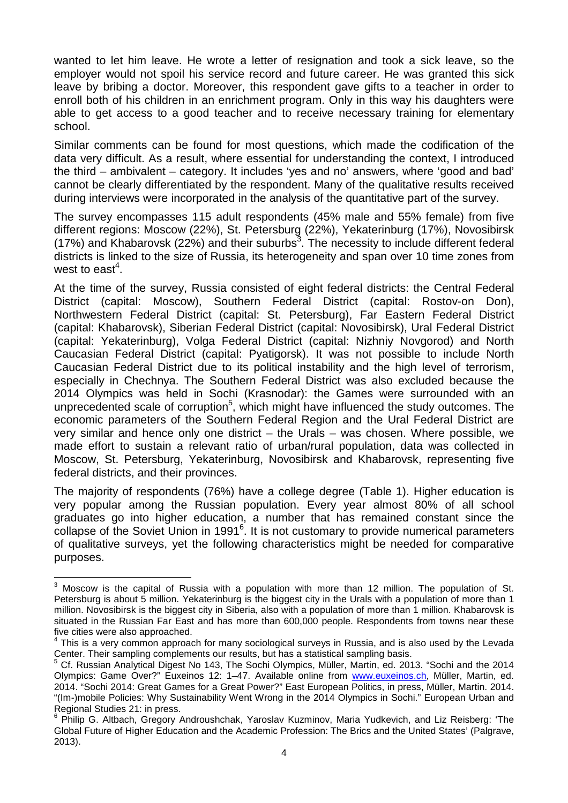wanted to let him leave. He wrote a letter of resignation and took a sick leave, so the employer would not spoil his service record and future career. He was granted this sick leave by bribing a doctor. Moreover, this respondent gave gifts to a teacher in order to enroll both of his children in an enrichment program. Only in this way his daughters were able to get access to a good teacher and to receive necessary training for elementary school.

Similar comments can be found for most questions, which made the codification of the data very difficult. As a result, where essential for understanding the context, I introduced the third – ambivalent – category. It includes 'yes and no' answers, where 'good and bad' cannot be clearly differentiated by the respondent. Many of the qualitative results received during interviews were incorporated in the analysis of the quantitative part of the survey.

The survey encompasses 115 adult respondents (45% male and 55% female) from five different regions: Moscow (22%), St. Petersburg (22%), Yekaterinburg (17%), Novosibirsk (17%) and Khabarovsk (22%) and their suburbs<sup>3</sup>. The necessity to include different federal districts is linked to the size of Russia, its heterogeneity and span over 10 time zones from west to east<sup>4</sup>.

At the time of the survey, Russia consisted of eight federal districts: the Central Federal District (capital: Moscow), Southern Federal District (capital: Rostov-on Don), Northwestern Federal District (capital: St. Petersburg), Far Eastern Federal District (capital: Khabarovsk), Siberian Federal District (capital: Novosibirsk), Ural Federal District (capital: Yekaterinburg), Volga Federal District (capital: Nizhniy Novgorod) and North Caucasian Federal District (capital: Pyatigorsk). It was not possible to include North Caucasian Federal District due to its political instability and the high level of terrorism, especially in Chechnya. The Southern Federal District was also excluded because the 2014 Olympics was held in Sochi (Krasnodar): the Games were surrounded with an unprecedented scale of corruption<sup>5</sup>, which might have influenced the study outcomes. The economic parameters of the Southern Federal Region and the Ural Federal District are very similar and hence only one district – the Urals – was chosen. Where possible, we made effort to sustain a relevant ratio of urban/rural population, data was collected in Moscow, St. Petersburg, Yekaterinburg, Novosibirsk and Khabarovsk, representing five federal districts, and their provinces.

The majority of respondents (76%) have a college degree (Table 1). Higher education is very popular among the Russian population. Every year almost 80% of all school graduates go into higher education, a number that has remained constant since the collapse of the Soviet Union in 1991<sup>6</sup>. It is not customary to provide numerical parameters of qualitative surveys, yet the following characteristics might be needed for comparative purposes.

 $3$  Moscow is the capital of Russia with a population with more than 12 million. The population of St. Petersburg is about 5 million. Yekaterinburg is the biggest city in the Urals with a population of more than 1 million. Novosibirsk is the biggest city in Siberia, also with a population of more than 1 million. Khabarovsk is situated in the Russian Far East and has more than 600,000 people. Respondents from towns near these five cities were also approached.

<sup>&</sup>lt;sup>4</sup> This is a very common approach for many sociological surveys in Russia, and is also used by the Levada Center. Their sampling complements our results, but has a statistical sampling basis.

<sup>&</sup>lt;sup>5</sup> Cf. Russian Analytical Digest No 143, The Sochi Olympics, Müller, Martin, ed. 2013. "Sochi and the 2014 Olympics: Game Over?" Euxeinos 12: 1–47. Available online from www.euxeinos.ch, Müller, Martin, ed. 2014. "Sochi 2014: Great Games for a Great Power?" East European Politics, in press, Müller, Martin. 2014. "(Im-)mobile Policies: Why Sustainability Went Wrong in the 2014 Olympics in Sochi." European Urban and Regional Studies 21: in press.

<sup>6</sup> Philip G. Altbach, Gregory Androushchak, Yaroslav Kuzminov, Maria Yudkevich, and Liz Reisberg: 'The Global Future of Higher Education and the Academic Profession: The Brics and the United States' (Palgrave, 2013).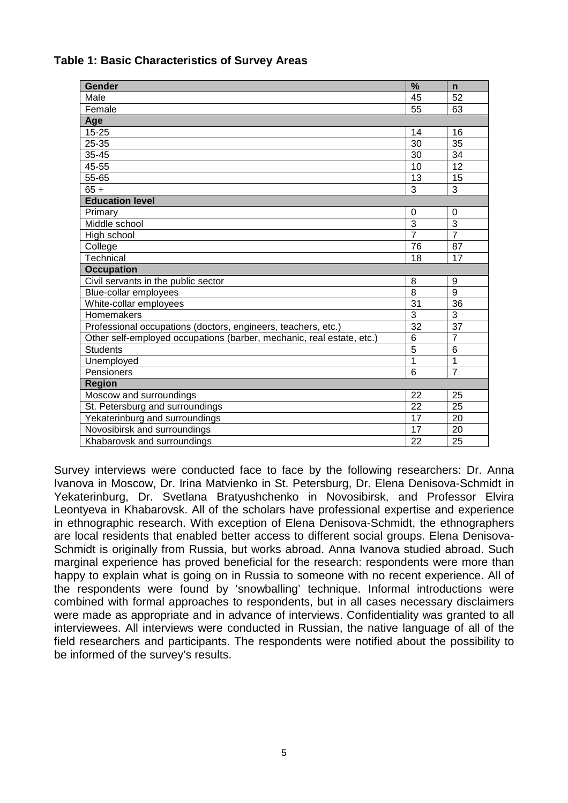| <b>Gender</b>                                                         | $\frac{9}{6}$         | $\mathsf{n}$    |
|-----------------------------------------------------------------------|-----------------------|-----------------|
| Male                                                                  | 45                    | 52              |
| Female                                                                | 55                    | 63              |
| Age                                                                   |                       |                 |
| $15 - 25$                                                             | 14                    | 16              |
| 25-35                                                                 | 30                    | 35              |
| 35-45                                                                 | 30                    | 34              |
| 45-55                                                                 | 10                    | 12              |
| 55-65                                                                 | 13                    | 15              |
| $65 +$                                                                | 3                     | 3               |
| <b>Education level</b>                                                |                       |                 |
| Primary                                                               | 0                     | $\mathbf 0$     |
| Middle school                                                         | 3                     | 3               |
| High school                                                           | $\overline{7}$        | $\overline{7}$  |
| College                                                               | 76                    | 87              |
| Technical                                                             | 18                    | 17              |
| <b>Occupation</b>                                                     |                       |                 |
| Civil servants in the public sector                                   | 8                     | 9               |
|                                                                       |                       | $\overline{9}$  |
| Blue-collar employees                                                 | $\overline{8}$        |                 |
| White-collar employees                                                | 31                    | 36              |
| Homemakers                                                            | $\overline{3}$        | 3               |
| Professional occupations (doctors, engineers, teachers, etc.)         | $\overline{32}$       | $\overline{37}$ |
| Other self-employed occupations (barber, mechanic, real estate, etc.) | $\overline{6}$        | $\overline{7}$  |
| <b>Students</b>                                                       | $\overline{5}$        | 6               |
| Unemployed                                                            | 1                     | $\overline{1}$  |
| Pensioners                                                            | 6                     | $\overline{7}$  |
| <b>Region</b>                                                         |                       |                 |
| Moscow and surroundings                                               | 22                    | 25              |
| St. Petersburg and surroundings                                       | 22                    | 25              |
| Yekaterinburg and surroundings                                        | 17                    | 20              |
| Novosibirsk and surroundings<br>Khabarovsk and surroundings           | $\overline{17}$<br>22 | 20<br>25        |

### **Table 1: Basic Characteristics of Survey Areas**

Survey interviews were conducted face to face by the following researchers: Dr. Anna Ivanova in Moscow, Dr. Irina Matvienko in St. Petersburg, Dr. Elena Denisova-Schmidt in Yekaterinburg, Dr. Svetlana Bratyushchenko in Novosibirsk, and Professor Elvira Leontyeva in Khabarovsk. All of the scholars have professional expertise and experience in ethnographic research. With exception of Elena Denisova-Schmidt, the ethnographers are local residents that enabled better access to different social groups. Elena Denisova-Schmidt is originally from Russia, but works abroad. Anna Ivanova studied abroad. Such marginal experience has proved beneficial for the research: respondents were more than happy to explain what is going on in Russia to someone with no recent experience. All of the respondents were found by 'snowballing' technique. Informal introductions were combined with formal approaches to respondents, but in all cases necessary disclaimers were made as appropriate and in advance of interviews. Confidentiality was granted to all interviewees. All interviews were conducted in Russian, the native language of all of the field researchers and participants. The respondents were notified about the possibility to be informed of the survey's results.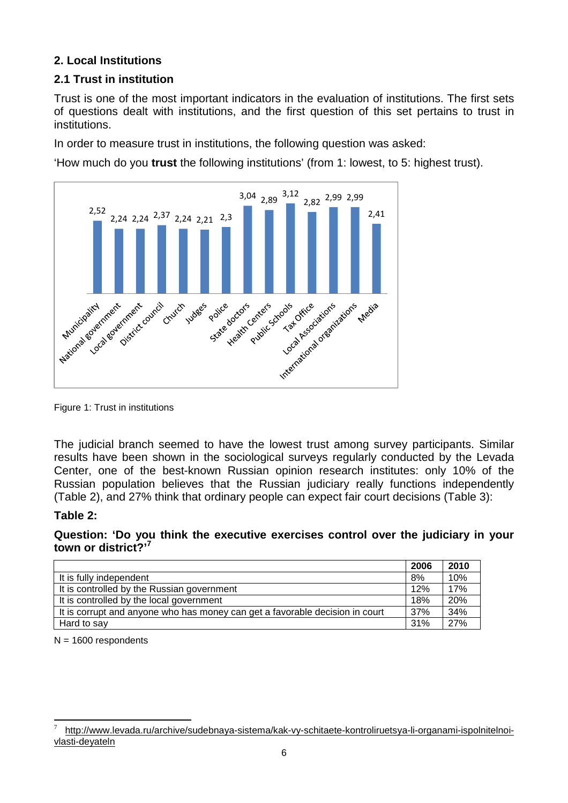## **2. Local Institutions**

## **2.1 Trust in institution**

Trust is one of the most important indicators in the evaluation of institutions. The first sets of questions dealt with institutions, and the first question of this set pertains to trust in institutions.

In order to measure trust in institutions, the following question was asked:

'How much do you **trust** the following institutions' (from 1: lowest, to 5: highest trust).



Figure 1: Trust in institutions

The judicial branch seemed to have the lowest trust among survey participants. Similar results have been shown in the sociological surveys regularly conducted by the Levada Center, one of the best-known Russian opinion research institutes: only 10% of the Russian population believes that the Russian judiciary really functions independently (Table 2), and 27% think that ordinary people can expect fair court decisions (Table 3):

## **Table 2:**

**Question: 'Do you think the executive exercises control over the judiciary in your town or district?'<sup>7</sup>**

|                                                                              | 2006 | 2010 |
|------------------------------------------------------------------------------|------|------|
| It is fully independent                                                      | 8%   | 10%  |
| It is controlled by the Russian government                                   | 12%  | 17%  |
| It is controlled by the local government                                     | 18%  | 20%  |
| It is corrupt and anyone who has money can get a favorable decision in court | 37%  | 34%  |
| Hard to say                                                                  | 31%  | 27%  |

 $N = 1600$  respondents

<sup>7</sup> http://www.levada.ru/archive/sudebnaya-sistema/kak-vy-schitaete-kontroliruetsya-li-organami-ispolnitelnoivlasti-deyateln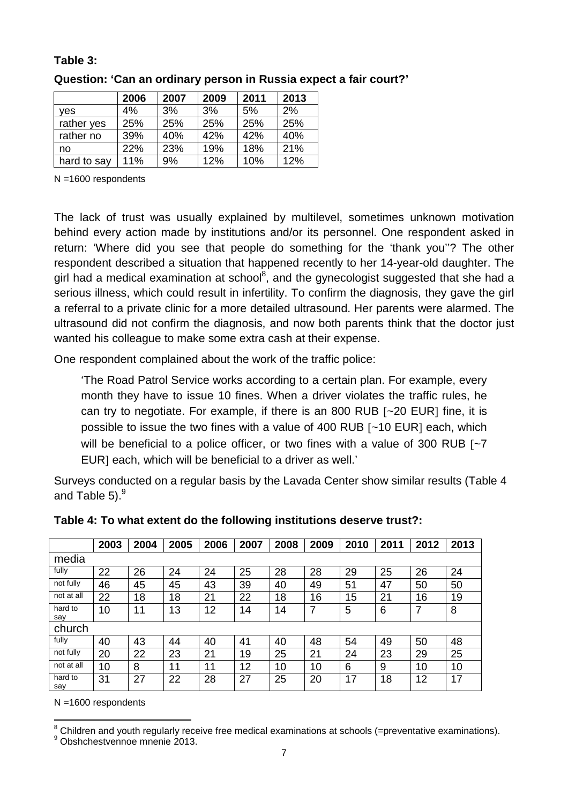#### **Table 3:**

|             | 2006 | 2007 | 2009 | 2011 | 2013 |
|-------------|------|------|------|------|------|
| ves         | 4%   | 3%   | 3%   | 5%   | 2%   |
| rather yes  | 25%  | 25%  | 25%  | 25%  | 25%  |
| rather no   | 39%  | 40%  | 42%  | 42%  | 40%  |
| no          | 22%  | 23%  | 19%  | 18%  | 21%  |
| hard to say | 11%  | 9%   | 12%  | 10%  | 12%  |

**Question: 'Can an ordinary person in Russia expect a fair court?'**

N =1600 respondents

The lack of trust was usually explained by multilevel, sometimes unknown motivation behind every action made by institutions and/or its personnel. One respondent asked in return: 'Where did you see that people do something for the 'thank you''? The other respondent described a situation that happened recently to her 14-year-old daughter. The girl had a medical examination at school<sup>8</sup>, and the gynecologist suggested that she had a serious illness, which could result in infertility. To confirm the diagnosis, they gave the girl a referral to a private clinic for a more detailed ultrasound. Her parents were alarmed. The ultrasound did not confirm the diagnosis, and now both parents think that the doctor just wanted his colleague to make some extra cash at their expense.

One respondent complained about the work of the traffic police:

'The Road Patrol Service works according to a certain plan. For example, every month they have to issue 10 fines. When a driver violates the traffic rules, he can try to negotiate. For example, if there is an 800 RUB  $[-20]$  EUR] fine, it is possible to issue the two fines with a value of 400 RUB  $[-10$  EUR] each, which will be beneficial to a police officer, or two fines with a value of 300 RUB  $\lceil -7 \rceil$ EUR] each, which will be beneficial to a driver as well.'

Surveys conducted on a regular basis by the Lavada Center show similar results (Table 4 and Table  $5)<sup>9</sup>$ 

|                | 2003 | 2004 | 2005 | 2006 | 2007 | 2008 | 2009 | 2010 | 2011 | 2012 | 2013 |
|----------------|------|------|------|------|------|------|------|------|------|------|------|
| media          |      |      |      |      |      |      |      |      |      |      |      |
| fully          | 22   | 26   | 24   | 24   | 25   | 28   | 28   | 29   | 25   | 26   | 24   |
| not fully      | 46   | 45   | 45   | 43   | 39   | 40   | 49   | 51   | 47   | 50   | 50   |
| not at all     | 22   | 18   | 18   | 21   | 22   | 18   | 16   | 15   | 21   | 16   | 19   |
| hard to<br>say | 10   | 11   | 13   | 12   | 14   | 14   | 7    | 5    | 6    | 7    | 8    |
| church         |      |      |      |      |      |      |      |      |      |      |      |
| fully          | 40   | 43   | 44   | 40   | 41   | 40   | 48   | 54   | 49   | 50   | 48   |
| not fully      | 20   | 22   | 23   | 21   | 19   | 25   | 21   | 24   | 23   | 29   | 25   |
| not at all     | 10   | 8    | 11   | 11   | 12   | 10   | 10   | 6    | 9    | 10   | 10   |
| hard to<br>say | 31   | 27   | 22   | 28   | 27   | 25   | 20   | 17   | 18   | 12   | 17   |

**Table 4: To what extent do the following institutions deserve trust?:**

N =1600 respondents

<sup>&</sup>lt;sup>8</sup> Children and youth regularly receive free medical examinations at schools (=preventative examinations).

<sup>9</sup> Obshchestvennoe mnenie 2013.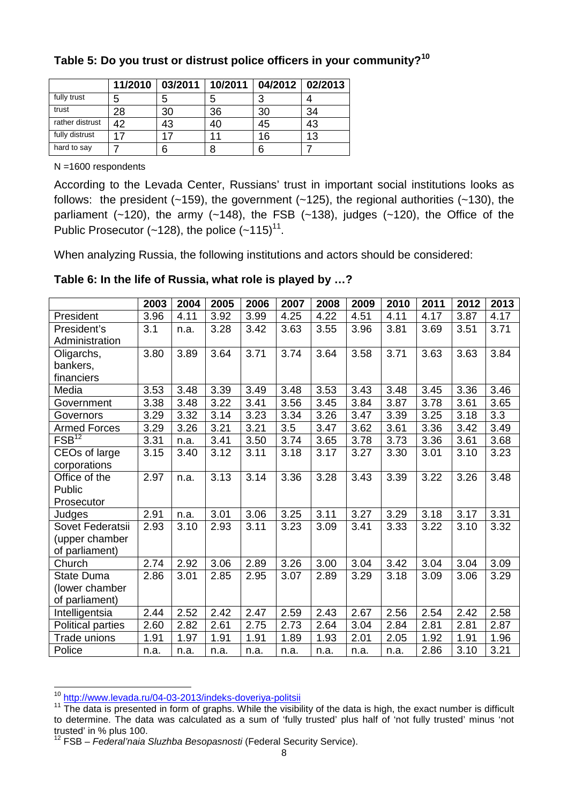|                 | 11/2010 | 03/2011 | 10/2011 | 04/2012 02/2013 |    |
|-----------------|---------|---------|---------|-----------------|----|
| fully trust     | 5       | 5       | 5       | ≏               |    |
| trust           | 28      | 30      | 36      | 30              | 34 |
| rather distrust | 42      | 43      | 40      | 45              | 43 |
| fully distrust  | 17      |         | 11      | 16              | 13 |
| hard to say     |         | 6       | 8       | 6               |    |

## **Table 5: Do you trust or distrust police officers in your community?<sup>10</sup>**

N =1600 respondents

According to the Levada Center, Russians' trust in important social institutions looks as follows: the president  $(-159)$ , the government  $(-125)$ , the regional authorities  $(-130)$ , the parliament  $(-120)$ , the army  $(-148)$ , the FSB  $(-138)$ , judges  $(-120)$ , the Office of the Public Prosecutor ( $\sim$ 128), the police ( $\sim$ 115)<sup>11</sup>.

When analyzing Russia, the following institutions and actors should be considered:

|                       | 2003 | 2004 | 2005 | 2006 | 2007 | 2008 | 2009 | 2010 | 2011 | 2012 | 2013 |
|-----------------------|------|------|------|------|------|------|------|------|------|------|------|
| President             | 3.96 | 4.11 | 3.92 | 3.99 | 4.25 | 4.22 | 4.51 | 4.11 | 4.17 | 3.87 | 4.17 |
| President's           | 3.1  | n.a. | 3.28 | 3.42 | 3.63 | 3.55 | 3.96 | 3.81 | 3.69 | 3.51 | 3.71 |
| Administration        |      |      |      |      |      |      |      |      |      |      |      |
| Oligarchs,            | 3.80 | 3.89 | 3.64 | 3.71 | 3.74 | 3.64 | 3.58 | 3.71 | 3.63 | 3.63 | 3.84 |
| bankers,              |      |      |      |      |      |      |      |      |      |      |      |
| financiers            |      |      |      |      |      |      |      |      |      |      |      |
| Media                 | 3.53 | 3.48 | 3.39 | 3.49 | 3.48 | 3.53 | 3.43 | 3.48 | 3.45 | 3.36 | 3.46 |
| Government            | 3.38 | 3.48 | 3.22 | 3.41 | 3.56 | 3.45 | 3.84 | 3.87 | 3.78 | 3.61 | 3.65 |
| Governors             | 3.29 | 3.32 | 3.14 | 3.23 | 3.34 | 3.26 | 3.47 | 3.39 | 3.25 | 3.18 | 3.3  |
| <b>Armed Forces</b>   | 3.29 | 3.26 | 3.21 | 3.21 | 3.5  | 3.47 | 3.62 | 3.61 | 3.36 | 3.42 | 3.49 |
| $F\overline{SB}^{12}$ | 3.31 | n.a. | 3.41 | 3.50 | 3.74 | 3.65 | 3.78 | 3.73 | 3.36 | 3.61 | 3.68 |
| CEOs of large         | 3.15 | 3.40 | 3.12 | 3.11 | 3.18 | 3.17 | 3.27 | 3.30 | 3.01 | 3.10 | 3.23 |
| corporations          |      |      |      |      |      |      |      |      |      |      |      |
| Office of the         | 2.97 | n.a. | 3.13 | 3.14 | 3.36 | 3.28 | 3.43 | 3.39 | 3.22 | 3.26 | 3.48 |
| Public                |      |      |      |      |      |      |      |      |      |      |      |
| Prosecutor            |      |      |      |      |      |      |      |      |      |      |      |
| Judges                | 2.91 | n.a. | 3.01 | 3.06 | 3.25 | 3.11 | 3.27 | 3.29 | 3.18 | 3.17 | 3.31 |
| Sovet Federatsii      | 2.93 | 3.10 | 2.93 | 3.11 | 3.23 | 3.09 | 3.41 | 3.33 | 3.22 | 3.10 | 3.32 |
| (upper chamber        |      |      |      |      |      |      |      |      |      |      |      |
| of parliament)        |      |      |      |      |      |      |      |      |      |      |      |
| Church                | 2.74 | 2.92 | 3.06 | 2.89 | 3.26 | 3.00 | 3.04 | 3.42 | 3.04 | 3.04 | 3.09 |
| <b>State Duma</b>     | 2.86 | 3.01 | 2.85 | 2.95 | 3.07 | 2.89 | 3.29 | 3.18 | 3.09 | 3.06 | 3.29 |
| (lower chamber        |      |      |      |      |      |      |      |      |      |      |      |
| of parliament)        |      |      |      |      |      |      |      |      |      |      |      |
| Intelligentsia        | 2.44 | 2.52 | 2.42 | 2.47 | 2.59 | 2.43 | 2.67 | 2.56 | 2.54 | 2.42 | 2.58 |
| Political parties     | 2.60 | 2.82 | 2.61 | 2.75 | 2.73 | 2.64 | 3.04 | 2.84 | 2.81 | 2.81 | 2.87 |
| Trade unions          | 1.91 | 1.97 | 1.91 | 1.91 | 1.89 | 1.93 | 2.01 | 2.05 | 1.92 | 1.91 | 1.96 |
| Police                | n.a. | n.a. | n.a. | n.a. | n.a. | n.a. | n.a. | n.a. | 2.86 | 3.10 | 3.21 |

### **Table 6: In the life of Russia, what role is played by …?**

<sup>10</sup> http://www.levada.ru/04-03-2013/indeks-doveriya-politsii

<sup>&</sup>lt;sup>11</sup> The data is presented in form of graphs. While the visibility of the data is high, the exact number is difficult to determine. The data was calculated as a sum of 'fully trusted' plus half of 'not fully trusted' minus 'not trusted' in % plus 100.

<sup>12</sup> FSB – *Federal'naia Sluzhba Besopasnosti* (Federal Security Service).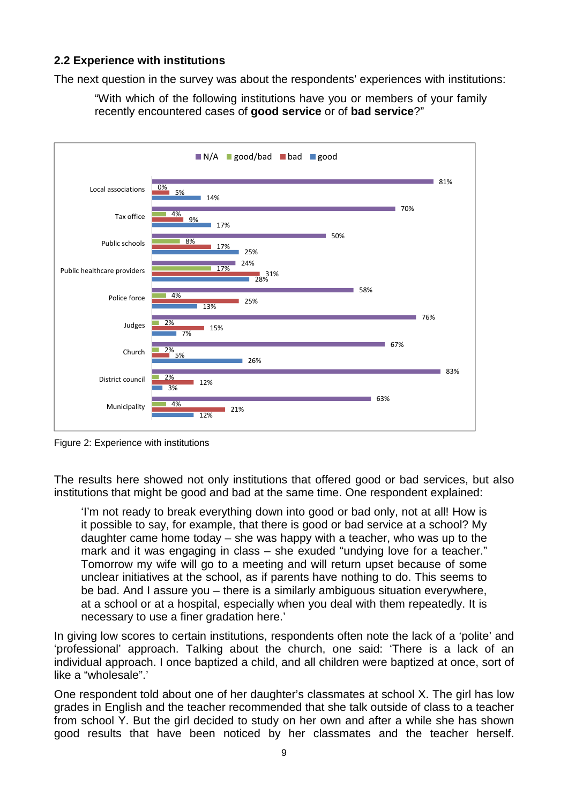## **2.2 Experience with institutions**

The next question in the survey was about the respondents' experiences with institutions:

"With which of the following institutions have you or members of your family recently encountered cases of **good service** or of **bad service**?"



Figure 2: Experience with institutions

The results here showed not only institutions that offered good or bad services, but also institutions that might be good and bad at the same time. One respondent explained:

'I'm not ready to break everything down into good or bad only, not at all! How is it possible to say, for example, that there is good or bad service at a school? My daughter came home today – she was happy with a teacher, who was up to the mark and it was engaging in class – she exuded "undying love for a teacher." Tomorrow my wife will go to a meeting and will return upset because of some unclear initiatives at the school, as if parents have nothing to do. This seems to be bad. And I assure you – there is a similarly ambiguous situation everywhere, at a school or at a hospital, especially when you deal with them repeatedly. It is necessary to use a finer gradation here.'

In giving low scores to certain institutions, respondents often note the lack of a 'polite' and 'professional' approach. Talking about the church, one said: 'There is a lack of an individual approach. I once baptized a child, and all children were baptized at once, sort of like a "wholesale".'

One respondent told about one of her daughter's classmates at school X. The girl has low grades in English and the teacher recommended that she talk outside of class to a teacher from school Y. But the girl decided to study on her own and after a while she has shown good results that have been noticed by her classmates and the teacher herself.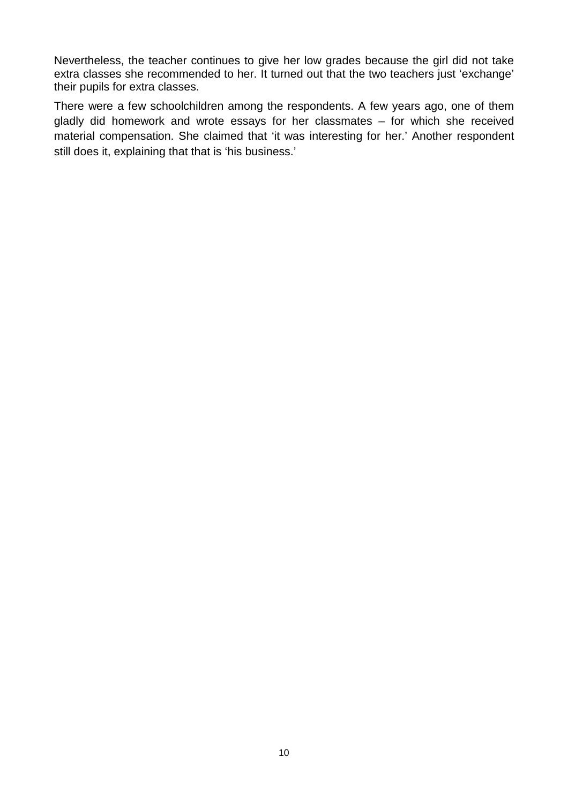Nevertheless, the teacher continues to give her low grades because the girl did not take extra classes she recommended to her. It turned out that the two teachers just 'exchange' their pupils for extra classes.

There were a few schoolchildren among the respondents. A few years ago, one of them gladly did homework and wrote essays for her classmates – for which she received material compensation. She claimed that 'it was interesting for her.' Another respondent still does it, explaining that that is 'his business.'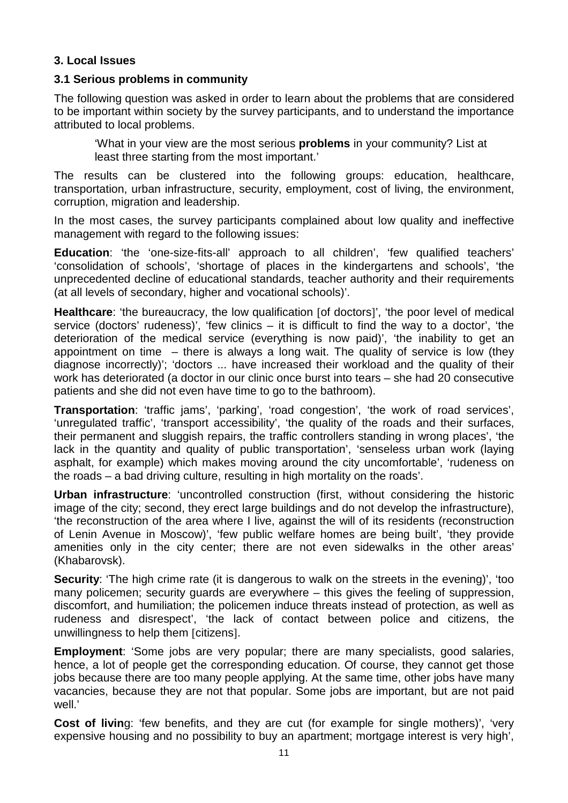## **3. Local Issues**

#### **3.1 Serious problems in community**

The following question was asked in order to learn about the problems that are considered to be important within society by the survey participants, and to understand the importance attributed to local problems.

'What in your view are the most serious **problems** in your community? List at least three starting from the most important.'

The results can be clustered into the following groups: education, healthcare, transportation, urban infrastructure, security, employment, cost of living, the environment, corruption, migration and leadership.

In the most cases, the survey participants complained about low quality and ineffective management with regard to the following issues:

**Education**: 'the 'one-size-fits-all' approach to all children', 'few qualified teachers' 'consolidation of schools', 'shortage of places in the kindergartens and schools', 'the unprecedented decline of educational standards, teacher authority and their requirements (at all levels of secondary, higher and vocational schools)'.

**Healthcare:** 'the bureaucracy, the low qualification [of doctors]', 'the poor level of medical service (doctors' rudeness)', 'few clinics – it is difficult to find the way to a doctor', 'the deterioration of the medical service (everything is now paid)', 'the inability to get an appointment on time  $-$  there is always a long wait. The quality of service is low (they diagnose incorrectly)'; 'doctors ... have increased their workload and the quality of their work has deteriorated (a doctor in our clinic once burst into tears – she had 20 consecutive patients and she did not even have time to go to the bathroom).

**Transportation**: 'traffic jams', 'parking', 'road congestion', 'the work of road services', 'unregulated traffic', 'transport accessibility', 'the quality of the roads and their surfaces, their permanent and sluggish repairs, the traffic controllers standing in wrong places', 'the lack in the quantity and quality of public transportation', 'senseless urban work (laying asphalt, for example) which makes moving around the city uncomfortable', 'rudeness on the roads – a bad driving culture, resulting in high mortality on the roads'.

**Urban infrastructure**: 'uncontrolled construction (first, without considering the historic image of the city; second, they erect large buildings and do not develop the infrastructure), 'the reconstruction of the area where I live, against the will of its residents (reconstruction of Lenin Avenue in Moscow)', 'few public welfare homes are being built', 'they provide amenities only in the city center; there are not even sidewalks in the other areas' (Khabarovsk).

**Security:** 'The high crime rate (it is dangerous to walk on the streets in the evening)', 'too many policemen; security guards are everywhere – this gives the feeling of suppression, discomfort, and humiliation; the policemen induce threats instead of protection, as well as rudeness and disrespect', 'the lack of contact between police and citizens, the unwillingness to help them [citizens].

**Employment**: 'Some jobs are very popular; there are many specialists, good salaries, hence, a lot of people get the corresponding education. Of course, they cannot get those jobs because there are too many people applying. At the same time, other jobs have many vacancies, because they are not that popular. Some jobs are important, but are not paid well.'

**Cost of living:** 'few benefits, and they are cut (for example for single mothers)', 'very expensive housing and no possibility to buy an apartment; mortgage interest is very high',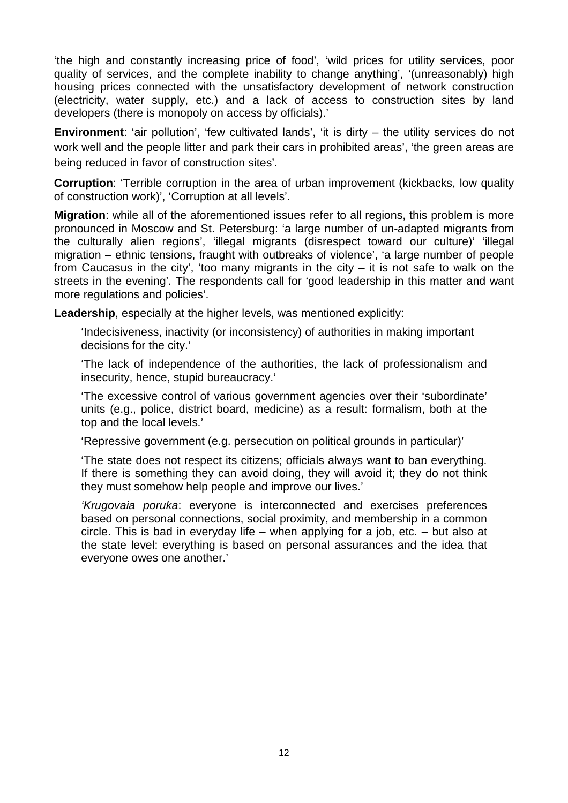'the high and constantly increasing price of food', 'wild prices for utility services, poor quality of services, and the complete inability to change anything', '(unreasonably) high housing prices connected with the unsatisfactory development of network construction (electricity, water supply, etc.) and a lack of access to construction sites by land developers (there is monopoly on access by officials).'

**Environment**: 'air pollution', 'few cultivated lands', 'it is dirty – the utility services do not work well and the people litter and park their cars in prohibited areas', 'the green areas are being reduced in favor of construction sites'.

**Corruption**: 'Terrible corruption in the area of urban improvement (kickbacks, low quality of construction work)', 'Corruption at all levels'.

**Migration**: while all of the aforementioned issues refer to all regions, this problem is more pronounced in Moscow and St. Petersburg: 'a large number of un-adapted migrants from the culturally alien regions', 'illegal migrants (disrespect toward our culture)' 'illegal migration – ethnic tensions, fraught with outbreaks of violence', 'a large number of people from Caucasus in the city', 'too many migrants in the city  $-$  it is not safe to walk on the streets in the evening'. The respondents call for 'good leadership in this matter and want more regulations and policies'.

**Leadership**, especially at the higher levels, was mentioned explicitly:

'Indecisiveness, inactivity (or inconsistency) of authorities in making important decisions for the city.'

'The lack of independence of the authorities, the lack of professionalism and insecurity, hence, stupid bureaucracy.'

'The excessive control of various government agencies over their 'subordinate' units (e.g., police, district board, medicine) as a result: formalism, both at the top and the local levels.'

'Repressive government (e.g. persecution on political grounds in particular)'

'The state does not respect its citizens; officials always want to ban everything. If there is something they can avoid doing, they will avoid it; they do not think they must somehow help people and improve our lives.'

*'Krugovaia poruka*: everyone is interconnected and exercises preferences based on personal connections, social proximity, and membership in a common circle. This is bad in everyday life – when applying for a job, etc. – but also at the state level: everything is based on personal assurances and the idea that everyone owes one another.'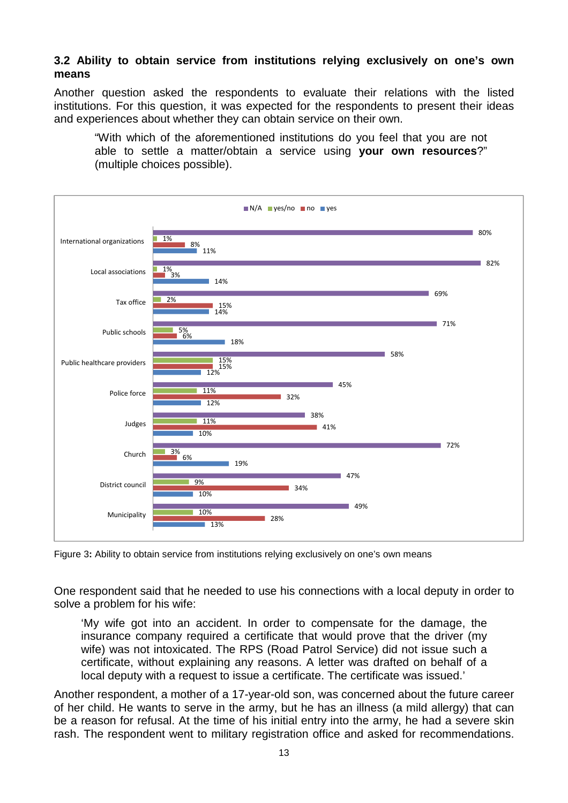#### **3.2 Ability to obtain service from institutions relying exclusively on one's own means**

Another question asked the respondents to evaluate their relations with the listed institutions. For this question, it was expected for the respondents to present their ideas and experiences about whether they can obtain service on their own.

"With which of the aforementioned institutions do you feel that you are not able to settle a matter/obtain a service using **your own resources**?" (multiple choices possible).



Figure 3**:** Ability to obtain service from institutions relying exclusively on one's own means

One respondent said that he needed to use his connections with a local deputy in order to solve a problem for his wife:

'My wife got into an accident. In order to compensate for the damage, the insurance company required a certificate that would prove that the driver (my wife) was not intoxicated. The RPS (Road Patrol Service) did not issue such a certificate, without explaining any reasons. A letter was drafted on behalf of a local deputy with a request to issue a certificate. The certificate was issued.'

Another respondent, a mother of a 17-year-old son, was concerned about the future career of her child. He wants to serve in the army, but he has an illness (a mild allergy) that can be a reason for refusal. At the time of his initial entry into the army, he had a severe skin rash. The respondent went to military registration office and asked for recommendations.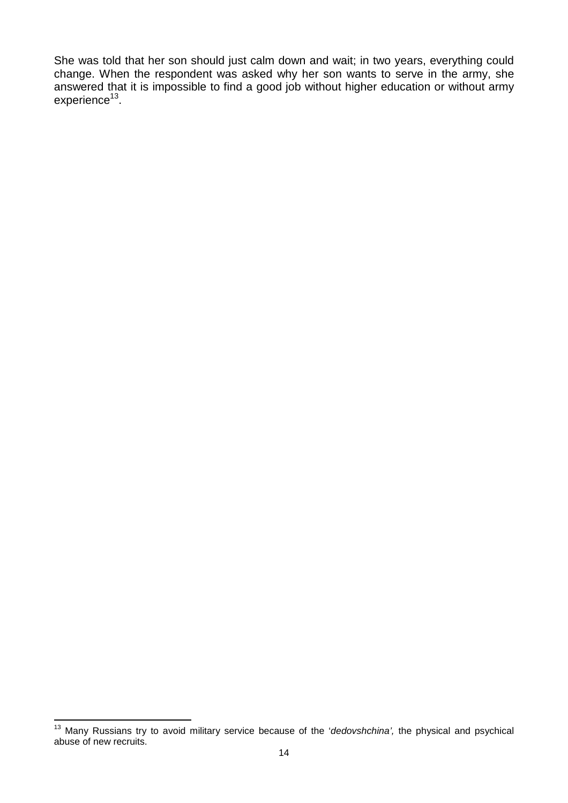She was told that her son should just calm down and wait; in two years, everything could change. When the respondent was asked why her son wants to serve in the army, she answered that it is impossible to find a good job without higher education or without army experience<sup>13</sup>.

<sup>13</sup> Many Russians try to avoid military service because of the '*dedovshchina',* the physical and psychical abuse of new recruits.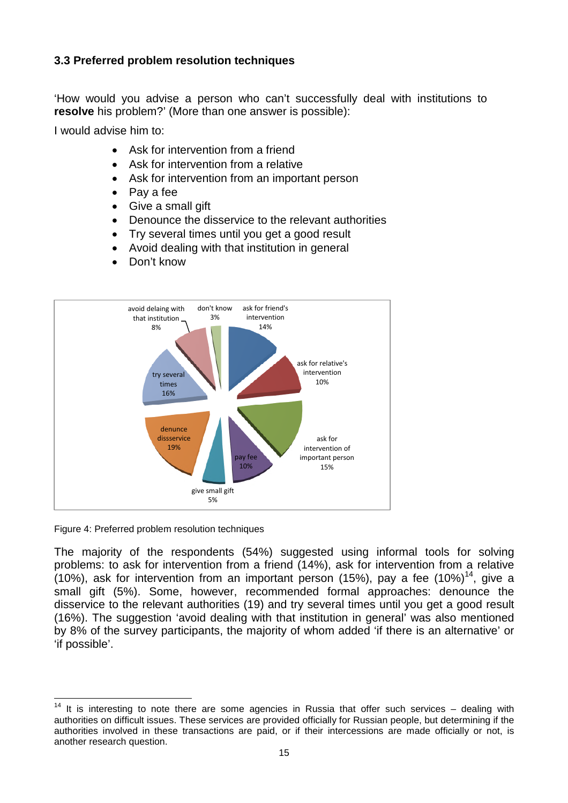## **3.3 Preferred problem resolution techniques**

'How would you advise a person who can't successfully deal with institutions to **resolve** his problem?' (More than one answer is possible):

I would advise him to:

- Ask for intervention from a friend
- Ask for intervention from a relative
- Ask for intervention from an important person
- Pay a fee
- Give a small gift
- Denounce the disservice to the relevant authorities
- Try several times until you get a good result
- Avoid dealing with that institution in general
- Don't know



Figure 4: Preferred problem resolution techniques

The majority of the respondents (54%) suggested using informal tools for solving problems: to ask for intervention from a friend (14%), ask for intervention from a relative (10%), ask for intervention from an important person (15%), pay a fee  $(10\%)^{14}$ , give a small gift (5%). Some, however, recommended formal approaches: denounce the disservice to the relevant authorities (19) and try several times until you get a good result (16%). The suggestion 'avoid dealing with that institution in general' was also mentioned by 8% of the survey participants, the majority of whom added 'if there is an alternative' or 'if possible'.

 $14$  It is interesting to note there are some agencies in Russia that offer such services – dealing with authorities on difficult issues. These services are provided officially for Russian people, but determining if the authorities involved in these transactions are paid, or if their intercessions are made officially or not, is another research question.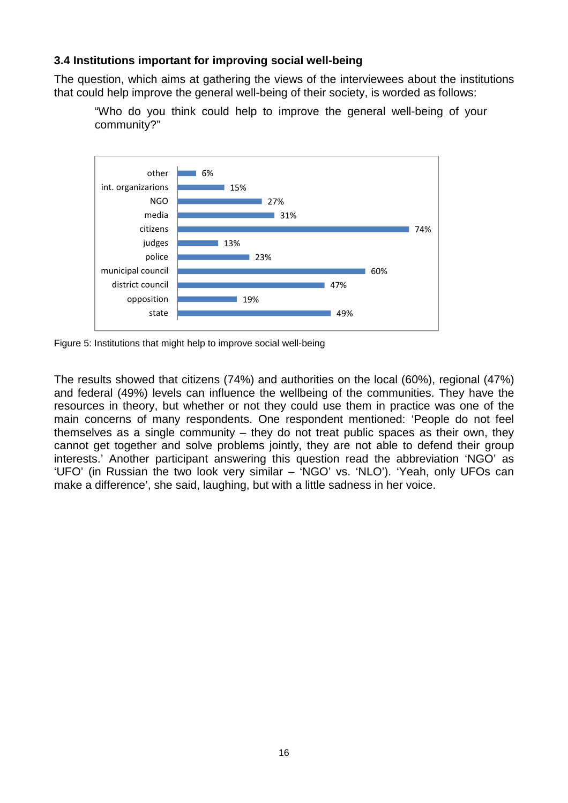## **3.4 Institutions important for improving social well-being**

The question, which aims at gathering the views of the interviewees about the institutions that could help improve the general well-being of their society, is worded as follows:



"Who do you think could help to improve the general well-being of your community?"

Figure 5: Institutions that might help to improve social well-being

The results showed that citizens (74%) and authorities on the local (60%), regional (47%) and federal (49%) levels can influence the wellbeing of the communities. They have the resources in theory, but whether or not they could use them in practice was one of the main concerns of many respondents. One respondent mentioned: 'People do not feel themselves as a single community – they do not treat public spaces as their own, they cannot get together and solve problems jointly, they are not able to defend their group interests.' Another participant answering this question read the abbreviation 'NGO' as 'UFO' (in Russian the two look very similar – 'NGO' vs. 'NLO'). 'Yeah, only UFOs can make a difference', she said, laughing, but with a little sadness in her voice.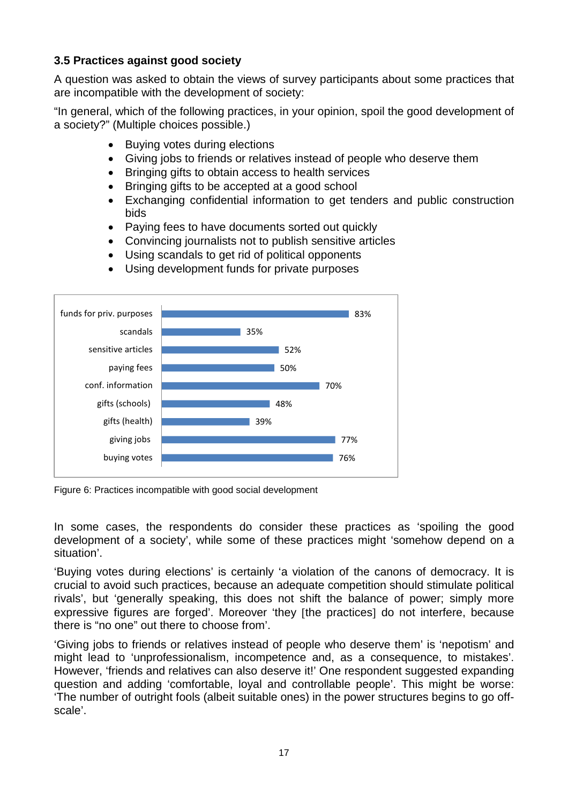## **3.5 Practices against good society**

A question was asked to obtain the views of survey participants about some practices that are incompatible with the development of society:

"In general, which of the following practices, in your opinion, spoil the good development of a society?" (Multiple choices possible.)

- Buving votes during elections
- Giving jobs to friends or relatives instead of people who deserve them
- Bringing gifts to obtain access to health services
- Bringing gifts to be accepted at a good school
- Exchanging confidential information to get tenders and public construction bids
- Paying fees to have documents sorted out quickly
- Convincing journalists not to publish sensitive articles
- Using scandals to get rid of political opponents



Using development funds for private purposes

Figure 6: Practices incompatible with good social development

buying votes

In some cases, the respondents do consider these practices as 'spoiling the good development of a society', while some of these practices might 'somehow depend on a situation'.

76%

'Buying votes during elections' is certainly 'a violation of the canons of democracy. It is crucial to avoid such practices, because an adequate competition should stimulate political rivals', but 'generally speaking, this does not shift the balance of power; simply more expressive figures are forged'. Moreover 'they [the practices] do not interfere, because there is "no one" out there to choose from'.

'Giving jobs to friends or relatives instead of people who deserve them' is 'nepotism' and might lead to 'unprofessionalism, incompetence and, as a consequence, to mistakes'. However, 'friends and relatives can also deserve it!' One respondent suggested expanding question and adding 'comfortable, loyal and controllable people'. This might be worse: 'The number of outright fools (albeit suitable ones) in the power structures begins to go offscale'.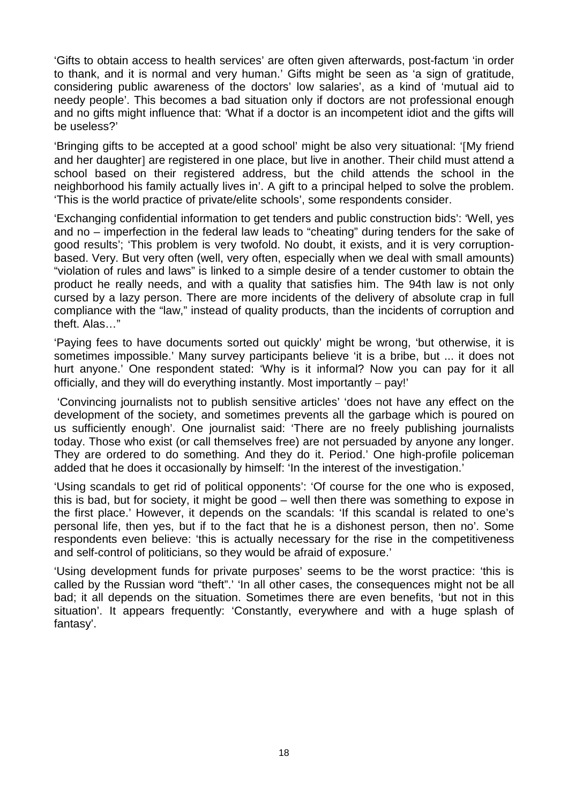'Gifts to obtain access to health services' are often given afterwards, post-factum 'in order to thank, and it is normal and very human.' Gifts might be seen as 'a sign of gratitude, considering public awareness of the doctors' low salaries', as a kind of 'mutual aid to needy people'. This becomes a bad situation only if doctors are not professional enough and no gifts might influence that: 'What if a doctor is an incompetent idiot and the gifts will be useless?'

'Bringing gifts to be accepted at a good school' might be also very situational: 'My friend and her daughter] are registered in one place, but live in another. Their child must attend a school based on their registered address, but the child attends the school in the neighborhood his family actually lives in'. A gift to a principal helped to solve the problem. 'This is the world practice of private/elite schools', some respondents consider.

'Exchanging confidential information to get tenders and public construction bids': 'Well, yes and no – imperfection in the federal law leads to "cheating" during tenders for the sake of good results'; 'This problem is very twofold. No doubt, it exists, and it is very corruptionbased. Very. But very often (well, very often, especially when we deal with small amounts) "violation of rules and laws" is linked to a simple desire of a tender customer to obtain the product he really needs, and with a quality that satisfies him. The 94th law is not only cursed by a lazy person. There are more incidents of the delivery of absolute crap in full compliance with the "law," instead of quality products, than the incidents of corruption and theft. Alas…"

'Paying fees to have documents sorted out quickly' might be wrong, 'but otherwise, it is sometimes impossible.' Many survey participants believe 'it is a bribe, but ... it does not hurt anyone.' One respondent stated: 'Why is it informal? Now you can pay for it all officially, and they will do everything instantly. Most importantly  $-$  pay!'

'Convincing journalists not to publish sensitive articles' 'does not have any effect on the development of the society, and sometimes prevents all the garbage which is poured on us sufficiently enough'. One journalist said: 'There are no freely publishing journalists today. Those who exist (or call themselves free) are not persuaded by anyone any longer. They are ordered to do something. And they do it. Period.' One high-profile policeman added that he does it occasionally by himself: 'In the interest of the investigation.'

'Using scandals to get rid of political opponents': 'Of course for the one who is exposed, this is bad, but for society, it might be good – well then there was something to expose in the first place.' However, it depends on the scandals: 'If this scandal is related to one's personal life, then yes, but if to the fact that he is a dishonest person, then no'. Some respondents even believe: 'this is actually necessary for the rise in the competitiveness and self-control of politicians, so they would be afraid of exposure.'

'Using development funds for private purposes' seems to be the worst practice: 'this is called by the Russian word "theft".' 'In all other cases, the consequences might not be all bad; it all depends on the situation. Sometimes there are even benefits, 'but not in this situation'. It appears frequently: 'Constantly, everywhere and with a huge splash of fantasy'.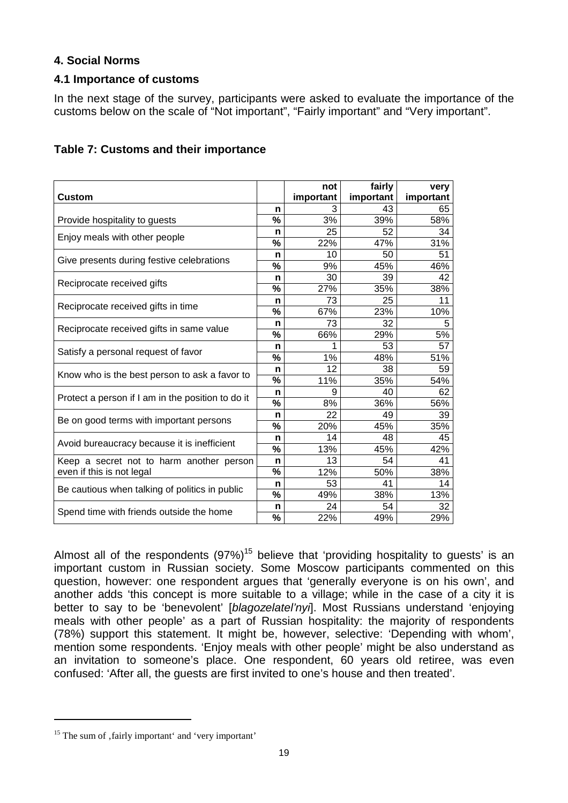## **4. Social Norms**

#### **4.1 Importance of customs**

In the next stage of the survey, participants were asked to evaluate the importance of the customs below on the scale of "Not important", "Fairly important" and "Very important".

| Table 7: Customs and their importance |  |  |  |  |  |
|---------------------------------------|--|--|--|--|--|
|---------------------------------------|--|--|--|--|--|

| <b>Custom</b>                                     |                          | not<br>important | fairly<br>important | very<br>important |
|---------------------------------------------------|--------------------------|------------------|---------------------|-------------------|
|                                                   | n                        | 3                | 43                  | 65                |
| Provide hospitality to guests                     | %                        | 3%               | 39%                 | 58%               |
|                                                   | n                        | 25               | 52                  | 34                |
| Enjoy meals with other people                     | %                        | 22%              | 47%                 | 31%               |
|                                                   | n                        | 10               | 50                  | 51                |
| Give presents during festive celebrations         | %                        | 9%               | 45%                 | 46%               |
|                                                   | n                        | 30               | 39                  | 42                |
| Reciprocate received gifts                        | %                        | 27%              | 35%                 | 38%               |
|                                                   | n                        | 73               | 25                  | 11                |
| Reciprocate received gifts in time                | %                        | 67%              | 23%                 | 10%               |
| Reciprocate received gifts in same value          | n                        | 73               | 32                  | 5                 |
|                                                   | %                        | 66%              | 29%                 | 5%                |
| Satisfy a personal request of favor               | n                        | 1                | 53                  | 57                |
|                                                   | %                        | 1%               | 48%                 | 51%               |
| Know who is the best person to ask a favor to     | n                        | 12               | 38                  | 59                |
|                                                   | %                        | 11%              | 35%                 | 54%               |
| Protect a person if I am in the position to do it | n                        | 9                | 40                  | 62                |
|                                                   | %                        | 8%               | 36%                 | 56%               |
| Be on good terms with important persons           | n                        | 22               | 49                  | 39                |
|                                                   | %                        | 20%              | 45%                 | 35%               |
| Avoid bureaucracy because it is inefficient       | n                        | 14               | 48                  | 45                |
|                                                   | %                        | 13%              | 45%                 | 42%               |
| Keep a secret not to harm another person          | n                        | 13               | 54                  | 41                |
| even if this is not legal                         | %                        | 12%              | 50%                 | 38%               |
| Be cautious when talking of politics in public    | n                        | 53               | 41                  | 14                |
|                                                   | $\overline{\frac{9}{6}}$ | 49%              | 38%                 | 13%               |
| Spend time with friends outside the home          | n                        | 24               | 54                  | 32                |
|                                                   | %                        | 22%              | 49%                 | 29%               |

Almost all of the respondents  $(97%)^{15}$  believe that 'providing hospitality to guests' is an important custom in Russian society. Some Moscow participants commented on this question, however: one respondent argues that 'generally everyone is on his own', and another adds 'this concept is more suitable to a village; while in the case of a city it is better to say to be 'benevolent' [*blagozelatel'nyi*]. Most Russians understand 'enjoying meals with other people' as a part of Russian hospitality: the majority of respondents (78%) support this statement. It might be, however, selective: 'Depending with whom', mention some respondents. 'Enjoy meals with other people' might be also understand as an invitation to someone's place. One respondent, 60 years old retiree, was even confused: 'After all, the guests are first invited to one's house and then treated'.

 $15$  The sum of , fairly important' and 'very important'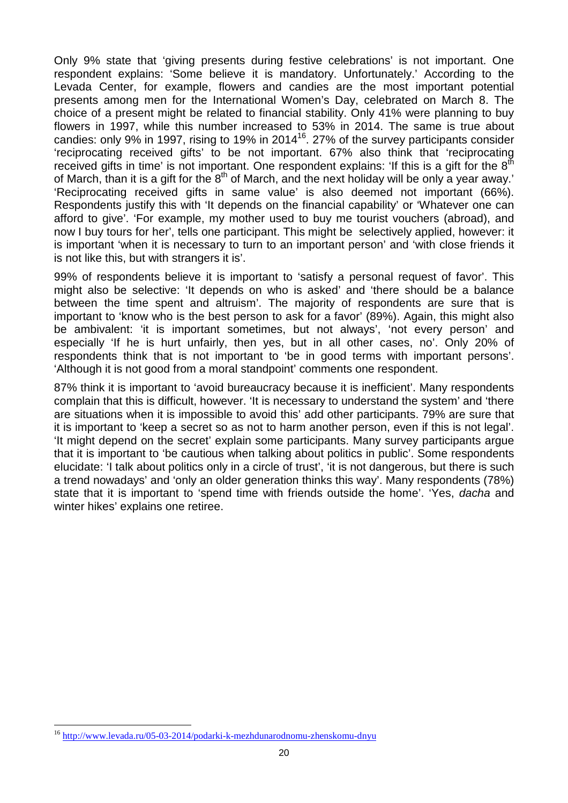Only 9% state that 'giving presents during festive celebrations' is not important. One respondent explains: 'Some believe it is mandatory. Unfortunately.' According to the Levada Center, for example, flowers and candies are the most important potential presents among men for the International Women's Day, celebrated on March 8. The choice of a present might be related to financial stability. Only 41% were planning to buy flowers in 1997, while this number increased to 53% in 2014. The same is true about candies: only 9% in 1997, rising to 19% in 2014<sup>16</sup>. 27% of the survey participants consider 'reciprocating received gifts' to be not important. 67% also think that 'reciprocating received gifts in time' is not important. One respondent explains: 'If this is a gift for the  $8<sup>th</sup>$ of March, than it is a gift for the  $8<sup>th</sup>$  of March, and the next holiday will be only a year away.' 'Reciprocating received gifts in same value' is also deemed not important (66%). Respondents justify this with 'It depends on the financial capability' or 'Whatever one can afford to give'. 'For example, my mother used to buy me tourist vouchers (abroad), and now I buy tours for her', tells one participant. This might be selectively applied, however: it is important 'when it is necessary to turn to an important person' and 'with close friends it is not like this, but with strangers it is'.

99% of respondents believe it is important to 'satisfy a personal request of favor'. This might also be selective: 'It depends on who is asked' and 'there should be a balance between the time spent and altruism'. The majority of respondents are sure that is important to 'know who is the best person to ask for a favor' (89%). Again, this might also be ambivalent: 'it is important sometimes, but not always', 'not every person' and especially 'If he is hurt unfairly, then yes, but in all other cases, no'. Only 20% of respondents think that is not important to 'be in good terms with important persons'. 'Although it is not good from a moral standpoint' comments one respondent.

87% think it is important to 'avoid bureaucracy because it is inefficient'. Many respondents complain that this is difficult, however. 'It is necessary to understand the system' and 'there are situations when it is impossible to avoid this' add other participants. 79% are sure that it is important to 'keep a secret so as not to harm another person, even if this is not legal'. 'It might depend on the secret' explain some participants. Many survey participants argue that it is important to 'be cautious when talking about politics in public'. Some respondents elucidate: 'I talk about politics only in a circle of trust', 'it is not dangerous, but there is such a trend nowadays' and 'only an older generation thinks this way'. Many respondents (78%) state that it is important to 'spend time with friends outside the home'. 'Yes, *dacha* and winter hikes' explains one retiree.

<sup>16</sup> http://www.levada.ru/05-03-2014/podarki-k-mezhdunarodnomu-zhenskomu-dnyu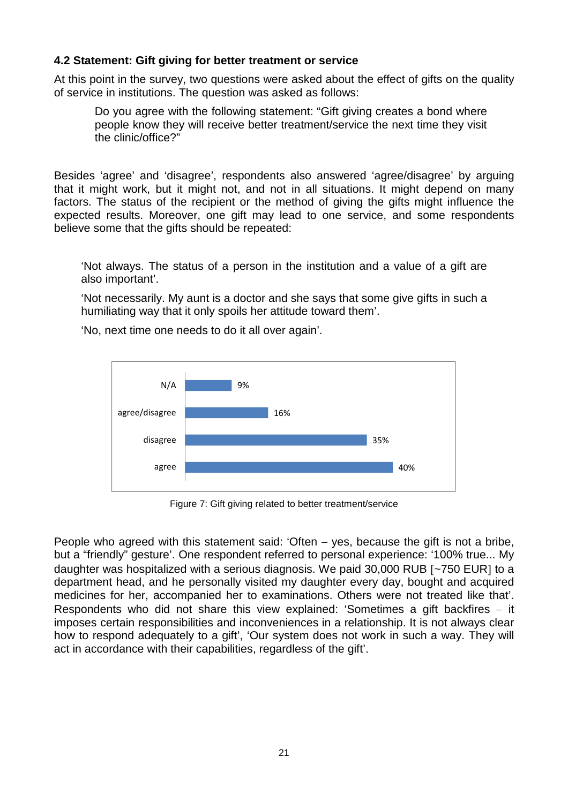## **4.2 Statement: Gift giving for better treatment or service**

At this point in the survey, two questions were asked about the effect of gifts on the quality of service in institutions. The question was asked as follows:

Do you agree with the following statement: "Gift giving creates a bond where people know they will receive better treatment/service the next time they visit the clinic/office?"

Besides 'agree' and 'disagree', respondents also answered 'agree/disagree' by arguing that it might work, but it might not, and not in all situations. It might depend on many factors. The status of the recipient or the method of giving the gifts might influence the expected results. Moreover, one gift may lead to one service, and some respondents believe some that the gifts should be repeated:

'Not always. The status of a person in the institution and a value of a gift are also important'.

'Not necessarily. My aunt is a doctor and she says that some give gifts in such a humiliating way that it only spoils her attitude toward them'.

'No, next time one needs to do it all over again'.



Figure 7: Gift giving related to better treatment/service

People who agreed with this statement said: 'Often  $-$  yes, because the gift is not a bribe, but a "friendly" gesture'. One respondent referred to personal experience: '100% true... My daughter was hospitalized with a serious diagnosis. We paid  $30,000$  RUB  $\lceil -750 \text{ EUR} \rceil$  to a department head, and he personally visited my daughter every day, bought and acquired medicines for her, accompanied her to examinations. Others were not treated like that'. Respondents who did not share this view explained: 'Sometimes a gift backfires  $-$  it imposes certain responsibilities and inconveniences in a relationship. It is not always clear how to respond adequately to a gift', 'Our system does not work in such a way. They will act in accordance with their capabilities, regardless of the gift'.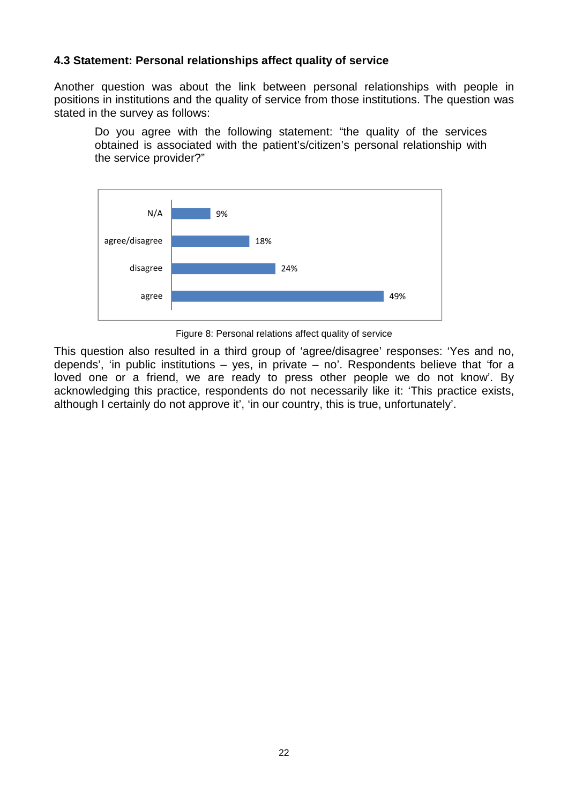#### **4.3 Statement: Personal relationships affect quality of service**

Another question was about the link between personal relationships with people in positions in institutions and the quality of service from those institutions. The question was stated in the survey as follows:

Do you agree with the following statement: "the quality of the services obtained is associated with the patient's/citizen's personal relationship with the service provider?"



Figure 8: Personal relations affect quality of service

This question also resulted in a third group of 'agree/disagree' responses: 'Yes and no, depends', 'in public institutions  $-$  yes, in private  $-$  no'. Respondents believe that 'for a loved one or a friend, we are ready to press other people we do not know'. By acknowledging this practice, respondents do not necessarily like it: 'This practice exists, although I certainly do not approve it', 'in our country, this is true, unfortunately'.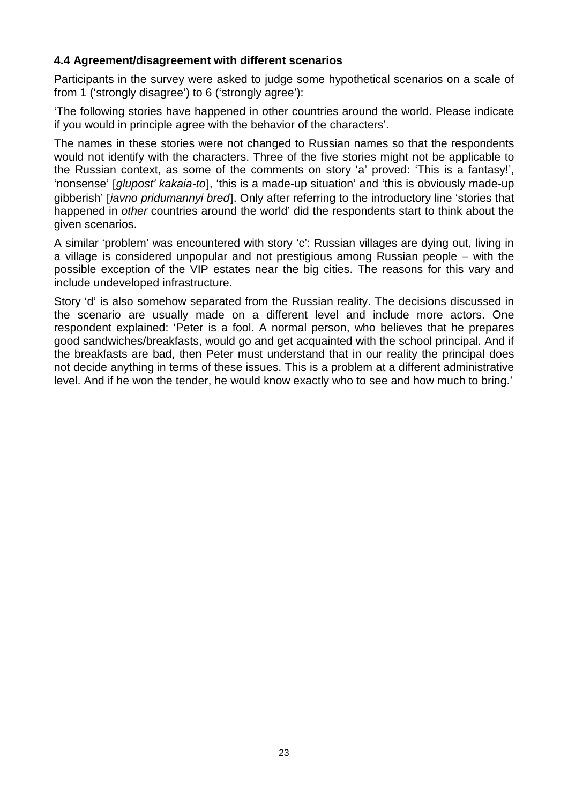### **4.4 Agreement/disagreement with different scenarios**

Participants in the survey were asked to judge some hypothetical scenarios on a scale of from 1 ('strongly disagree') to 6 ('strongly agree'):

'The following stories have happened in other countries around the world. Please indicate if you would in principle agree with the behavior of the characters'.

The names in these stories were not changed to Russian names so that the respondents would not identify with the characters. Three of the five stories might not be applicable to the Russian context, as some of the comments on story 'a' proved: 'This is a fantasy!', 'nonsense' *glupost' kakaia-to*, 'this is a made-up situation' and 'this is obviously made-up gibberish' *iavno pridumannyi bred*. Only after referring to the introductory line 'stories that happened in *other* countries around the world' did the respondents start to think about the given scenarios.

A similar 'problem' was encountered with story 'c': Russian villages are dying out, living in a village is considered unpopular and not prestigious among Russian people – with the possible exception of the VIP estates near the big cities. The reasons for this vary and include undeveloped infrastructure.

Story 'd' is also somehow separated from the Russian reality. The decisions discussed in the scenario are usually made on a different level and include more actors. One respondent explained: 'Peter is a fool. A normal person, who believes that he prepares good sandwiches/breakfasts, would go and get acquainted with the school principal. And if the breakfasts are bad, then Peter must understand that in our reality the principal does not decide anything in terms of these issues. This is a problem at a different administrative level. And if he won the tender, he would know exactly who to see and how much to bring.'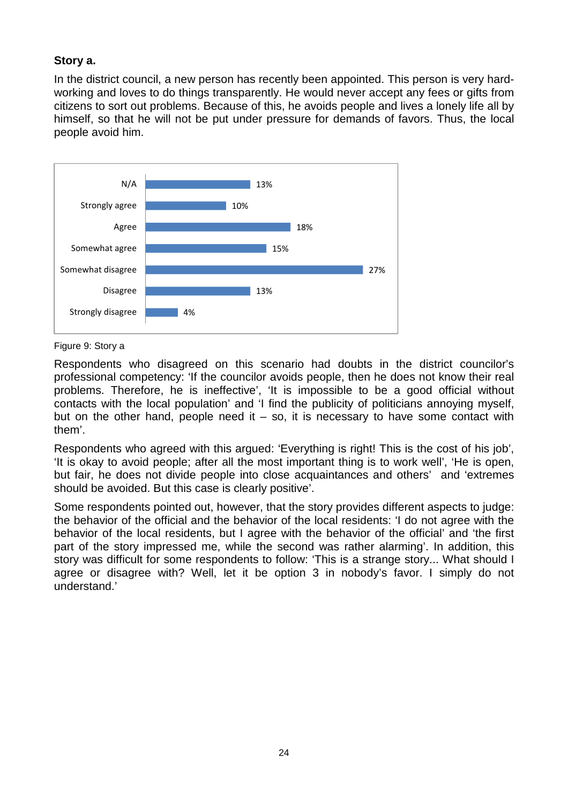## **Story a.**

In the district council, a new person has recently been appointed. This person is very hardworking and loves to do things transparently. He would never accept any fees or gifts from citizens to sort out problems. Because of this, he avoids people and lives a lonely life all by himself, so that he will not be put under pressure for demands of favors. Thus, the local people avoid him.



Figure 9: Story a

Respondents who disagreed on this scenario had doubts in the district councilor's professional competency: 'If the councilor avoids people, then he does not know their real problems. Therefore, he is ineffective', 'It is impossible to be a good official without contacts with the local population' and 'I find the publicity of politicians annoying myself, but on the other hand, people need it  $-$  so, it is necessary to have some contact with them'.

Respondents who agreed with this argued: 'Everything is right! This is the cost of his job', 'It is okay to avoid people; after all the most important thing is to work well', 'He is open, but fair, he does not divide people into close acquaintances and others' and 'extremes should be avoided. But this case is clearly positive'.

Some respondents pointed out, however, that the story provides different aspects to judge: the behavior of the official and the behavior of the local residents: 'I do not agree with the behavior of the local residents, but I agree with the behavior of the official' and 'the first part of the story impressed me, while the second was rather alarming'. In addition, this story was difficult for some respondents to follow: 'This is a strange story... What should I agree or disagree with? Well, let it be option 3 in nobody's favor. I simply do not understand.'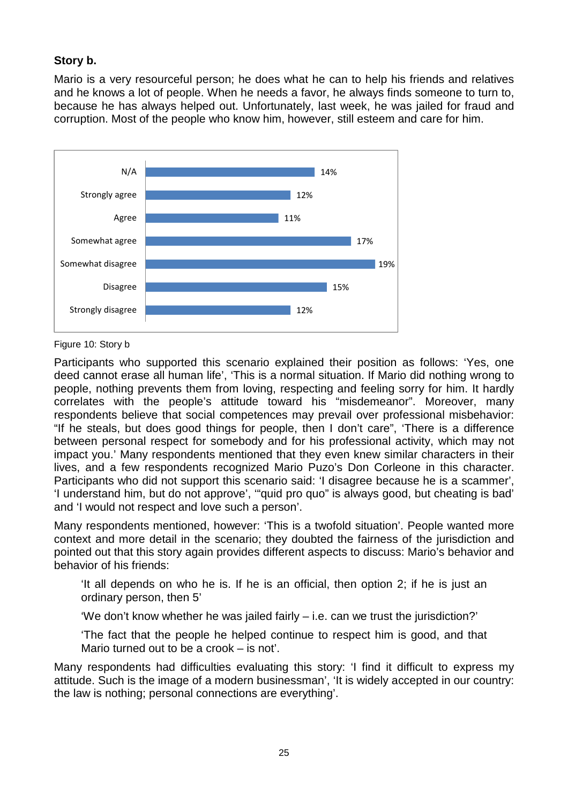## **Story b.**

Mario is a very resourceful person; he does what he can to help his friends and relatives and he knows a lot of people. When he needs a favor, he always finds someone to turn to, because he has always helped out. Unfortunately, last week, he was jailed for fraud and corruption. Most of the people who know him, however, still esteem and care for him.



Figure 10: Story b

Participants who supported this scenario explained their position as follows: 'Yes, one deed cannot erase all human life', 'This is a normal situation. If Mario did nothing wrong to people, nothing prevents them from loving, respecting and feeling sorry for him. It hardly correlates with the people's attitude toward his "misdemeanor". Moreover, many respondents believe that social competences may prevail over professional misbehavior: "If he steals, but does good things for people, then I don't care", 'There is a difference between personal respect for somebody and for his professional activity, which may not impact you.' Many respondents mentioned that they even knew similar characters in their lives, and a few respondents recognized Mario Puzo's Don Corleone in this character. Participants who did not support this scenario said: 'I disagree because he is a scammer', 'I understand him, but do not approve', '"quid pro quo" is always good, but cheating is bad' and 'I would not respect and love such a person'.

Many respondents mentioned, however: 'This is a twofold situation'. People wanted more context and more detail in the scenario; they doubted the fairness of the jurisdiction and pointed out that this story again provides different aspects to discuss: Mario's behavior and behavior of his friends:

'It all depends on who he is. If he is an official, then option 2; if he is just an ordinary person, then 5'

'We don't know whether he was jailed fairly  $-$  i.e. can we trust the jurisdiction?'

'The fact that the people he helped continue to respect him is good, and that Mario turned out to be a crook – is not'.

Many respondents had difficulties evaluating this story: 'I find it difficult to express my attitude. Such is the image of a modern businessman', 'It is widely accepted in our country: the law is nothing; personal connections are everything'.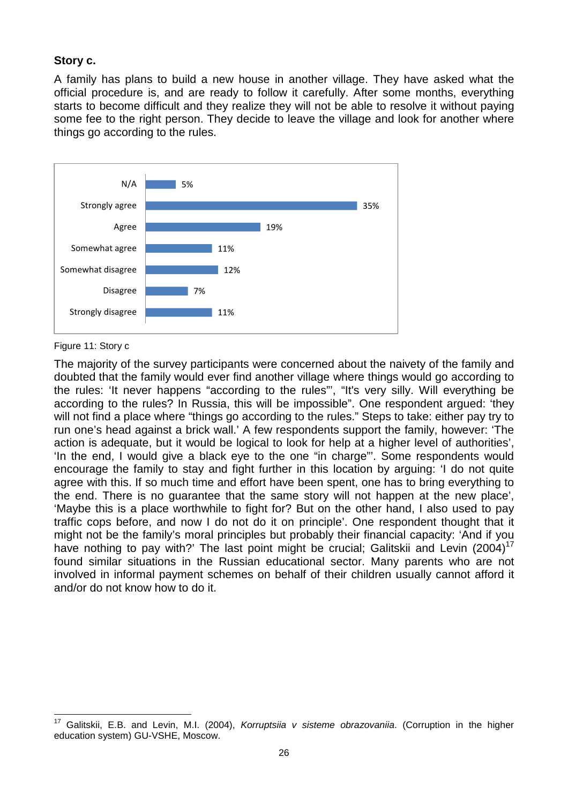#### **Story c.**

A family has plans to build a new house in another village. They have asked what the official procedure is, and are ready to follow it carefully. After some months, everything starts to become difficult and they realize they will not be able to resolve it without paying some fee to the right person. They decide to leave the village and look for another where things go according to the rules.



Figure 11: Story c

The majority of the survey participants were concerned about the naivety of the family and doubted that the family would ever find another village where things would go according to the rules: 'It never happens "according to the rules"', "It's very silly. Will everything be according to the rules? In Russia, this will be impossible". One respondent argued: 'they will not find a place where "things go according to the rules." Steps to take: either pay try to run one's head against a brick wall.' A few respondents support the family, however: 'The action is adequate, but it would be logical to look for help at a higher level of authorities', 'In the end, I would give a black eye to the one "in charge"'. Some respondents would encourage the family to stay and fight further in this location by arguing: 'I do not quite agree with this. If so much time and effort have been spent, one has to bring everything to the end. There is no guarantee that the same story will not happen at the new place', 'Maybe this is a place worthwhile to fight for? But on the other hand, I also used to pay traffic cops before, and now I do not do it on principle'. One respondent thought that it might not be the family's moral principles but probably their financial capacity: 'And if you have nothing to pay with?' The last point might be crucial; Galitskii and Levin (2004)<sup>17</sup> found similar situations in the Russian educational sector. Many parents who are not involved in informal payment schemes on behalf of their children usually cannot afford it and/or do not know how to do it.

<sup>17</sup> Galitskii, E.B. and Levin, M.I. (2004), *Korruptsiia v sisteme obrazovaniia*. (Corruption in the higher education system) GU-VSHE, Moscow.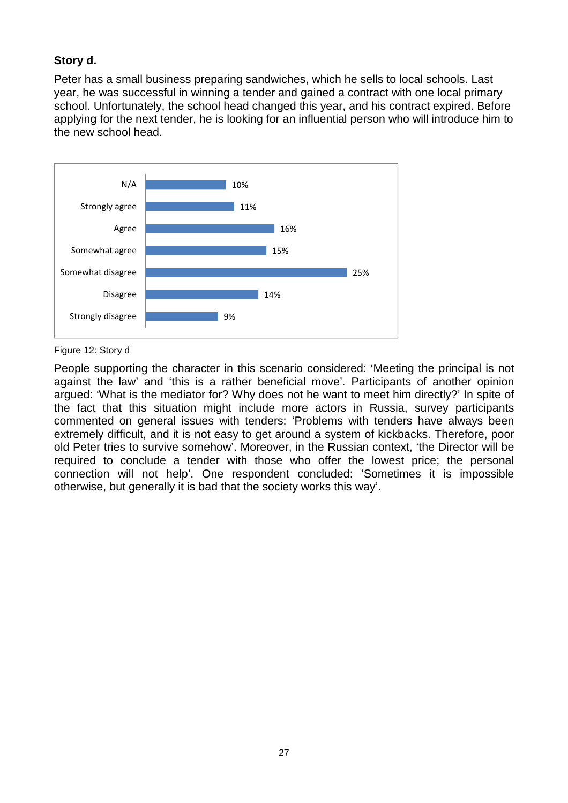## **Story d.**

Peter has a small business preparing sandwiches, which he sells to local schools. Last year, he was successful in winning a tender and gained a contract with one local primary school. Unfortunately, the school head changed this year, and his contract expired. Before applying for the next tender, he is looking for an influential person who will introduce him to the new school head.



Figure 12: Story d

People supporting the character in this scenario considered: 'Meeting the principal is not against the law' and 'this is a rather beneficial move'. Participants of another opinion argued: 'What is the mediator for? Why does not he want to meet him directly?' In spite of the fact that this situation might include more actors in Russia, survey participants commented on general issues with tenders: 'Problems with tenders have always been extremely difficult, and it is not easy to get around a system of kickbacks. Therefore, poor old Peter tries to survive somehow'. Moreover, in the Russian context, 'the Director will be required to conclude a tender with those who offer the lowest price; the personal connection will not help'. One respondent concluded: 'Sometimes it is impossible otherwise, but generally it is bad that the society works this way'.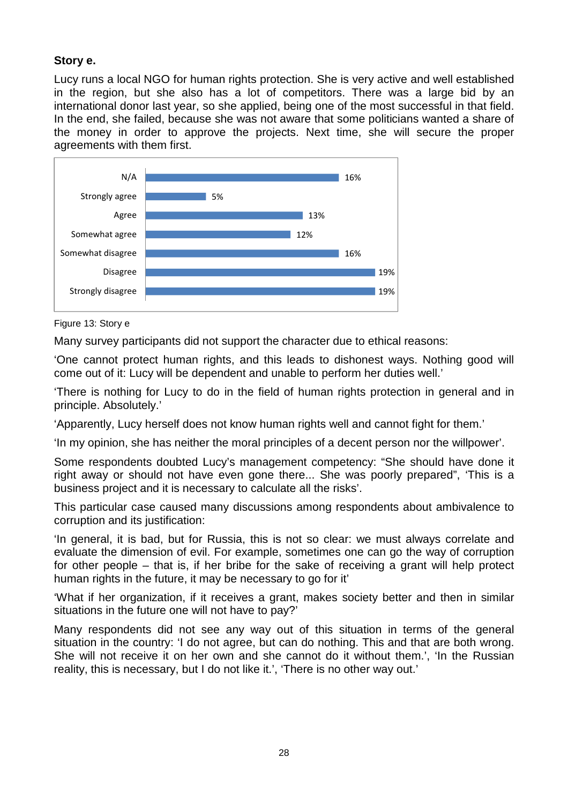## **Story e.**

Lucy runs a local NGO for human rights protection. She is very active and well established in the region, but she also has a lot of competitors. There was a large bid by an international donor last year, so she applied, being one of the most successful in that field. In the end, she failed, because she was not aware that some politicians wanted a share of the money in order to approve the projects. Next time, she will secure the proper agreements with them first.



Figure 13: Story e

Many survey participants did not support the character due to ethical reasons:

'One cannot protect human rights, and this leads to dishonest ways. Nothing good will come out of it: Lucy will be dependent and unable to perform her duties well.'

'There is nothing for Lucy to do in the field of human rights protection in general and in principle. Absolutely.'

'Apparently, Lucy herself does not know human rights well and cannot fight for them.'

'In my opinion, she has neither the moral principles of a decent person nor the willpower'.

Some respondents doubted Lucy's management competency: "She should have done it right away or should not have even gone there... She was poorly prepared", 'This is a business project and it is necessary to calculate all the risks'.

This particular case caused many discussions among respondents about ambivalence to corruption and its justification:

'In general, it is bad, but for Russia, this is not so clear: we must always correlate and evaluate the dimension of evil. For example, sometimes one can go the way of corruption for other people – that is, if her bribe for the sake of receiving a grant will help protect human rights in the future, it may be necessary to go for it'

'What if her organization, if it receives a grant, makes society better and then in similar situations in the future one will not have to pay?'

Many respondents did not see any way out of this situation in terms of the general situation in the country: 'I do not agree, but can do nothing. This and that are both wrong. She will not receive it on her own and she cannot do it without them.', 'In the Russian reality, this is necessary, but I do not like it.', 'There is no other way out.'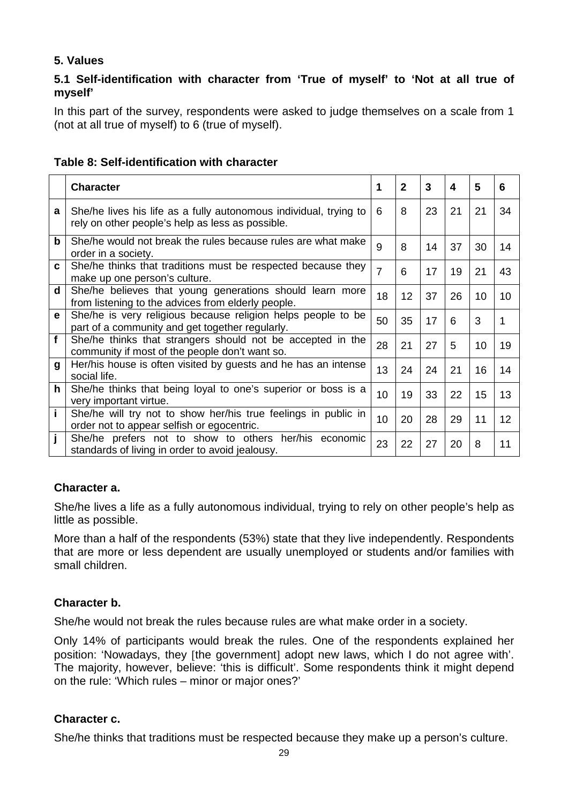## **5. Values**

## **5.1 Self-identification with character from 'True of myself' to 'Not at all true of myself'**

In this part of the survey, respondents were asked to judge themselves on a scale from 1 (not at all true of myself) to 6 (true of myself).

|              | <b>Character</b>                                                                                                      | 1              | $\mathbf{2}$ | 3  | 4  | 5  | 6               |
|--------------|-----------------------------------------------------------------------------------------------------------------------|----------------|--------------|----|----|----|-----------------|
| a            | She/he lives his life as a fully autonomous individual, trying to<br>rely on other people's help as less as possible. | 6              | 8            | 23 | 21 | 21 | 34              |
| $\mathbf b$  | She/he would not break the rules because rules are what make<br>order in a society.                                   | 9              | 8            | 14 | 37 | 30 | 14              |
| C.           | She/he thinks that traditions must be respected because they<br>make up one person's culture.                         | $\overline{7}$ | 6            | 17 | 19 | 21 | 43              |
| $\mathbf d$  | She/he believes that young generations should learn more<br>from listening to the advices from elderly people.        | 18             | 12           | 37 | 26 | 10 | 10              |
| $\mathbf e$  | She/he is very religious because religion helps people to be<br>part of a community and get together regularly.       | 50             | 35           | 17 | 6  | 3  |                 |
| $\mathbf{f}$ | She/he thinks that strangers should not be accepted in the<br>community if most of the people don't want so.          | 28             | 21           | 27 | 5  | 10 | 19              |
| $\mathbf{g}$ | Her/his house is often visited by guests and he has an intense<br>social life.                                        | 13             | 24           | 24 | 21 | 16 | 14              |
| $\mathbf h$  | She/he thinks that being loyal to one's superior or boss is a<br>very important virtue.                               | 10             | 19           | 33 | 22 | 15 | 13              |
| $\mathbf{i}$ | She/he will try not to show her/his true feelings in public in<br>order not to appear selfish or egocentric.          | 10             | 20           | 28 | 29 | 11 | 12 <sup>2</sup> |
| j            | She/he prefers not to show to others her/his economic<br>standards of living in order to avoid jealousy.              | 23             | 22           | 27 | 20 | 8  | 11              |

## **Table 8: Self-identification with character**

## **Character a.**

She/he lives a life as a fully autonomous individual, trying to rely on other people's help as little as possible.

More than a half of the respondents (53%) state that they live independently. Respondents that are more or less dependent are usually unemployed or students and/or families with small children.

## **Character b.**

She/he would not break the rules because rules are what make order in a society.

Only 14% of participants would break the rules. One of the respondents explained her position: 'Nowadays, they [the government] adopt new laws, which I do not agree with'. The majority, however, believe: 'this is difficult'. Some respondents think it might depend on the rule: 'Which rules – minor or major ones?'

#### **Character c.**

She/he thinks that traditions must be respected because they make up a person's culture.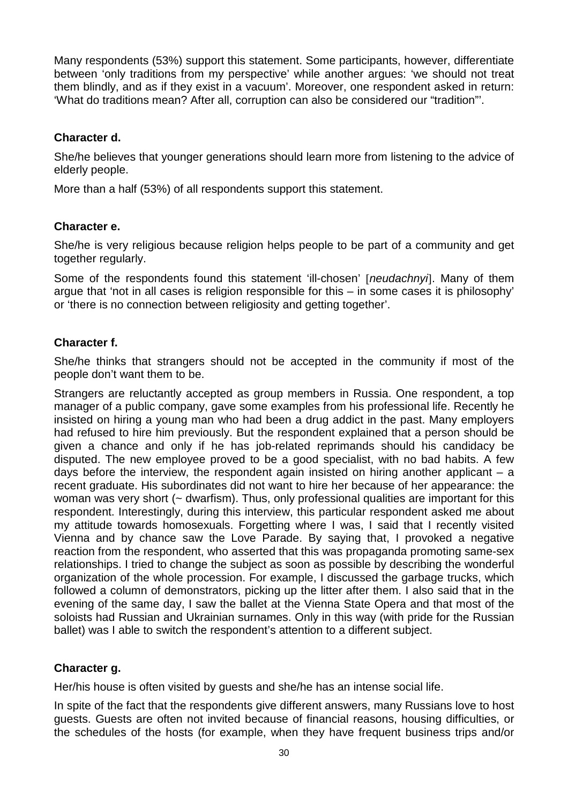Many respondents (53%) support this statement. Some participants, however, differentiate between 'only traditions from my perspective' while another argues: 'we should not treat them blindly, and as if they exist in a vacuum'. Moreover, one respondent asked in return: 'What do traditions mean? After all, corruption can also be considered our "tradition"'.

### **Character d.**

She/he believes that younger generations should learn more from listening to the advice of elderly people.

More than a half (53%) of all respondents support this statement.

### **Character e.**

She/he is very religious because religion helps people to be part of a community and get together regularly.

Some of the respondents found this statement 'ill-chosen' [neudachnyi]. Many of them argue that 'not in all cases is religion responsible for this – in some cases it is philosophy' or 'there is no connection between religiosity and getting together'.

### **Character f.**

She/he thinks that strangers should not be accepted in the community if most of the people don't want them to be.

Strangers are reluctantly accepted as group members in Russia. One respondent, a top manager of a public company, gave some examples from his professional life. Recently he insisted on hiring a young man who had been a drug addict in the past. Many employers had refused to hire him previously. But the respondent explained that a person should be given a chance and only if he has job-related reprimands should his candidacy be disputed. The new employee proved to be a good specialist, with no bad habits. A few days before the interview, the respondent again insisted on hiring another applicant  $-$  a recent graduate. His subordinates did not want to hire her because of her appearance: the woman was very short (~ dwarfism). Thus, only professional qualities are important for this respondent. Interestingly, during this interview, this particular respondent asked me about my attitude towards homosexuals. Forgetting where I was, I said that I recently visited Vienna and by chance saw the Love Parade. By saying that, I provoked a negative reaction from the respondent, who asserted that this was propaganda promoting same-sex relationships. I tried to change the subject as soon as possible by describing the wonderful organization of the whole procession. For example, I discussed the garbage trucks, which followed a column of demonstrators, picking up the litter after them. I also said that in the evening of the same day, I saw the ballet at the Vienna State Opera and that most of the soloists had Russian and Ukrainian surnames. Only in this way (with pride for the Russian ballet) was I able to switch the respondent's attention to a different subject.

## **Character g.**

Her/his house is often visited by guests and she/he has an intense social life.

In spite of the fact that the respondents give different answers, many Russians love to host guests. Guests are often not invited because of financial reasons, housing difficulties, or the schedules of the hosts (for example, when they have frequent business trips and/or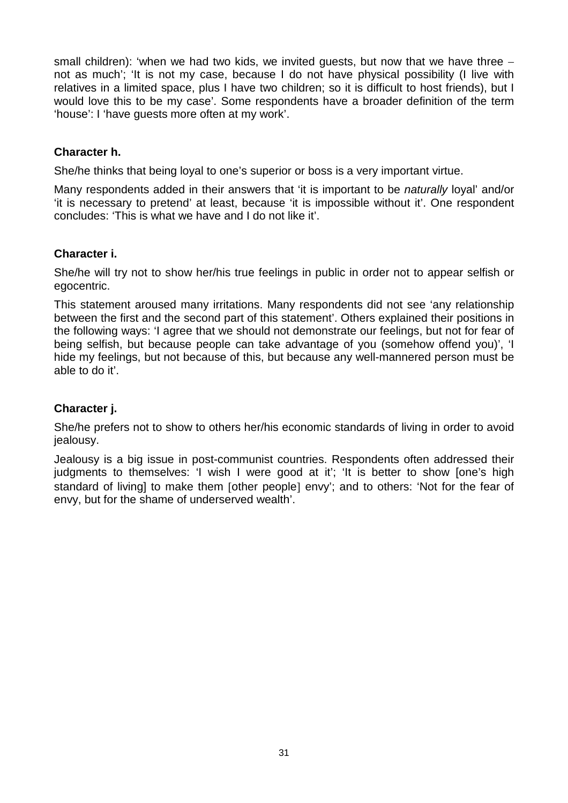small children): 'when we had two kids, we invited guests, but now that we have three not as much'; 'It is not my case, because I do not have physical possibility (I live with relatives in a limited space, plus I have two children; so it is difficult to host friends), but I would love this to be my case'. Some respondents have a broader definition of the term 'house': I 'have guests more often at my work'.

### **Character h.**

She/he thinks that being loyal to one's superior or boss is a very important virtue.

Many respondents added in their answers that 'it is important to be *naturally* loyal' and/or 'it is necessary to pretend' at least, because 'it is impossible without it'. One respondent concludes: 'This is what we have and I do not like it'.

### **Character i.**

She/he will try not to show her/his true feelings in public in order not to appear selfish or egocentric.

This statement aroused many irritations. Many respondents did not see 'any relationship between the first and the second part of this statement'. Others explained their positions in the following ways: 'I agree that we should not demonstrate our feelings, but not for fear of being selfish, but because people can take advantage of you (somehow offend you)', 'I hide my feelings, but not because of this, but because any well-mannered person must be able to do it'.

## **Character j.**

She/he prefers not to show to others her/his economic standards of living in order to avoid jealousy.

Jealousy is a big issue in post-communist countries. Respondents often addressed their judgments to themselves: 'I wish I were good at it'; 'It is better to show [one's high standard of living] to make them [other people] envy'; and to others: 'Not for the fear of envy, but for the shame of underserved wealth'.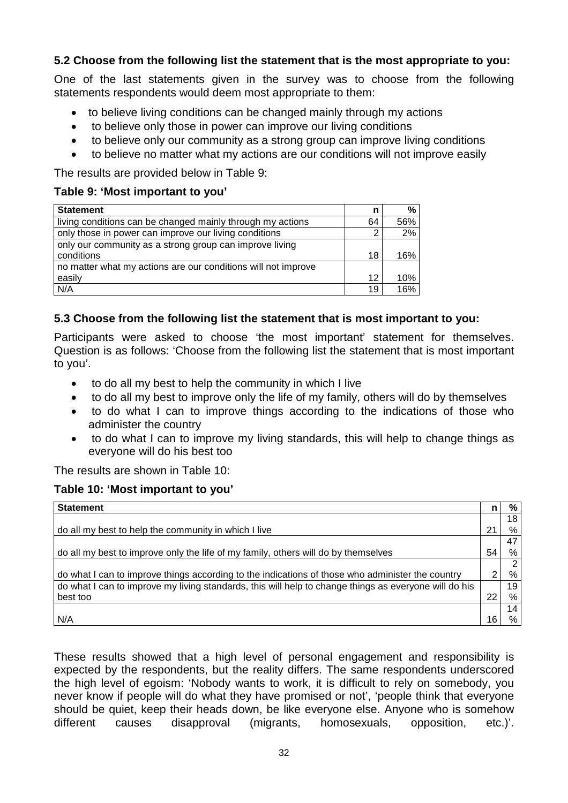## **5.2 Choose from the following list the statement that is the most appropriate to you:**

One of the last statements given in the survey was to choose from the following statements respondents would deem most appropriate to them:

- to believe living conditions can be changed mainly through my actions
- to believe only those in power can improve our living conditions
- to believe only our community as a strong group can improve living conditions
- to believe no matter what my actions are our conditions will not improve easily

The results are provided below in Table 9:

### **Table 9: 'Most important to you'**

| <b>Statement</b>                                              | n  | %   |
|---------------------------------------------------------------|----|-----|
| living conditions can be changed mainly through my actions    | 64 | 56% |
| only those in power can improve our living conditions         |    | 2%  |
| only our community as a strong group can improve living       |    |     |
| conditions                                                    | 18 | 16% |
| no matter what my actions are our conditions will not improve |    |     |
| easily                                                        | 12 | 10% |
| N/A                                                           | 19 | 16% |

### **5.3 Choose from the following list the statement that is most important to you:**

Participants were asked to choose 'the most important' statement for themselves. Question is as follows: 'Choose from the following list the statement that is most important to you'.

- to do all my best to help the community in which I live
- to do all my best to improve only the life of my family, others will do by themselves
- to do what I can to improve things according to the indications of those who administer the country
- to do what I can to improve my living standards, this will help to change things as everyone will do his best too

The results are shown in Table 10:

#### **Table 10: 'Most important to you'**

| <b>Statement</b>                                                                                      | n  | %  |
|-------------------------------------------------------------------------------------------------------|----|----|
|                                                                                                       |    | 18 |
| do all my best to help the community in which I live                                                  | 21 | %  |
|                                                                                                       |    | 47 |
| do all my best to improve only the life of my family, others will do by themselves                    | 54 | %  |
|                                                                                                       |    | 2  |
| do what I can to improve things according to the indications of those who administer the country      | ົ  | %  |
| do what I can to improve my living standards, this will help to change things as everyone will do his |    | 19 |
| best too                                                                                              | 22 | %  |
|                                                                                                       |    | 14 |
| N/A                                                                                                   | 16 | %  |

These results showed that a high level of personal engagement and responsibility is expected by the respondents, but the reality differs. The same respondents underscored the high level of egoism: 'Nobody wants to work, it is difficult to rely on somebody, you never know if people will do what they have promised or not', 'people think that everyone should be quiet, keep their heads down, be like everyone else. Anyone who is somehow different causes disapproval (migrants, homosexuals, opposition, etc.)'.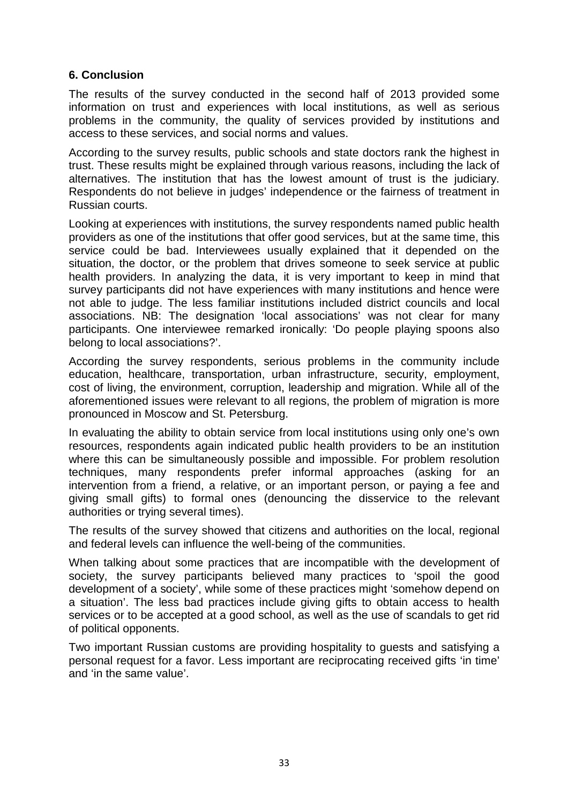### **6. Conclusion**

The results of the survey conducted in the second half of 2013 provided some information on trust and experiences with local institutions, as well as serious problems in the community, the quality of services provided by institutions and access to these services, and social norms and values.

According to the survey results, public schools and state doctors rank the highest in trust. These results might be explained through various reasons, including the lack of alternatives. The institution that has the lowest amount of trust is the judiciary. Respondents do not believe in judges' independence or the fairness of treatment in Russian courts.

Looking at experiences with institutions, the survey respondents named public health providers as one of the institutions that offer good services, but at the same time, this service could be bad. Interviewees usually explained that it depended on the situation, the doctor, or the problem that drives someone to seek service at public health providers. In analyzing the data, it is very important to keep in mind that survey participants did not have experiences with many institutions and hence were not able to judge. The less familiar institutions included district councils and local associations. NB: The designation 'local associations' was not clear for many participants. One interviewee remarked ironically: 'Do people playing spoons also belong to local associations?'.

According the survey respondents, serious problems in the community include education, healthcare, transportation, urban infrastructure, security, employment, cost of living, the environment, corruption, leadership and migration. While all of the aforementioned issues were relevant to all regions, the problem of migration is more pronounced in Moscow and St. Petersburg.

In evaluating the ability to obtain service from local institutions using only one's own resources, respondents again indicated public health providers to be an institution where this can be simultaneously possible and impossible. For problem resolution techniques, many respondents prefer informal approaches (asking for an intervention from a friend, a relative, or an important person, or paying a fee and giving small gifts) to formal ones (denouncing the disservice to the relevant authorities or trying several times).

The results of the survey showed that citizens and authorities on the local, regional and federal levels can influence the well-being of the communities.

When talking about some practices that are incompatible with the development of society, the survey participants believed many practices to 'spoil the good development of a society', while some of these practices might 'somehow depend on a situation'. The less bad practices include giving gifts to obtain access to health services or to be accepted at a good school, as well as the use of scandals to get rid of political opponents.

Two important Russian customs are providing hospitality to guests and satisfying a personal request for a favor. Less important are reciprocating received gifts 'in time' and 'in the same value'.